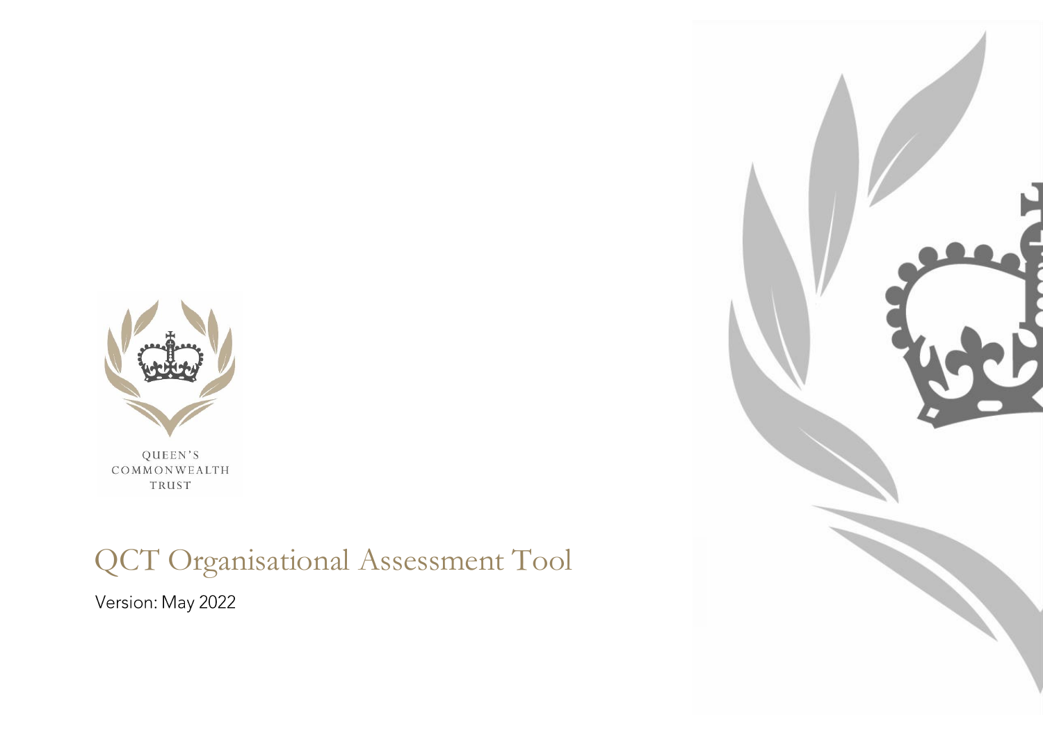

QUEEN'S COMMONWEALTH TRUST

# QCT Organisational Assessment Tool

Version: May 2022

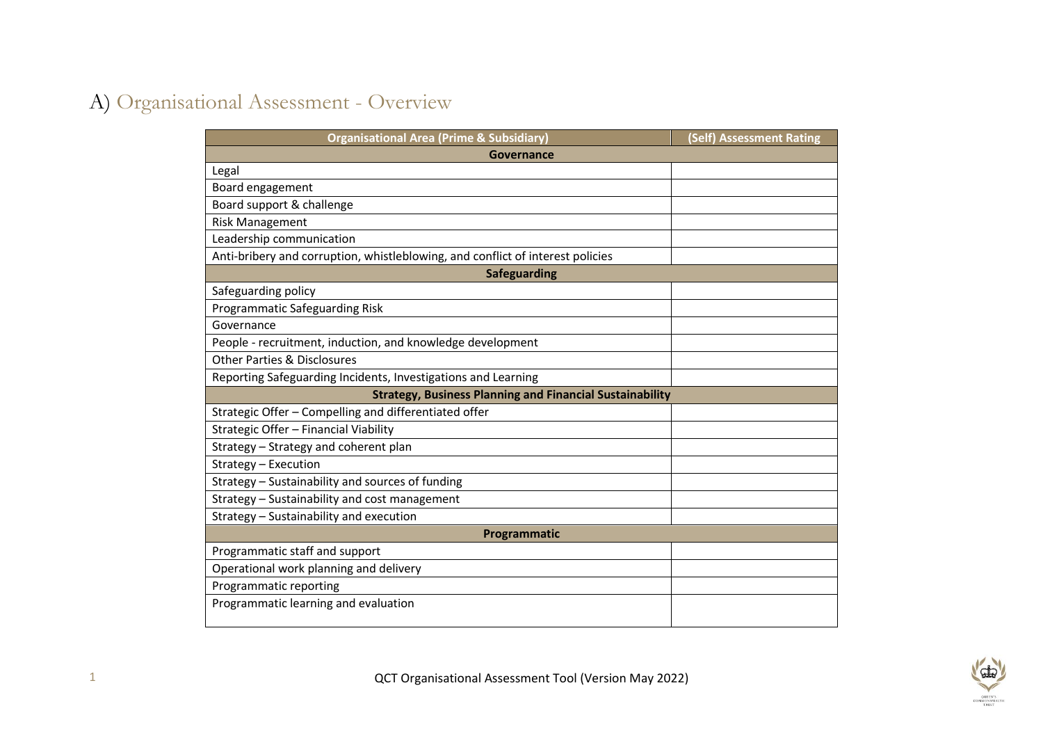### A) Organisational Assessment - Overview

| Governance<br>Legal<br>Board engagement<br>Board support & challenge<br><b>Risk Management</b><br>Leadership communication<br>Anti-bribery and corruption, whistleblowing, and conflict of interest policies<br><b>Safeguarding</b><br>Safeguarding policy<br>Programmatic Safeguarding Risk<br>Governance<br>People - recruitment, induction, and knowledge development<br><b>Other Parties &amp; Disclosures</b><br>Reporting Safeguarding Incidents, Investigations and Learning<br><b>Strategy, Business Planning and Financial Sustainability</b><br>Strategic Offer - Compelling and differentiated offer<br>Strategic Offer - Financial Viability<br>Strategy - Strategy and coherent plan<br>Strategy - Execution<br>Strategy - Sustainability and sources of funding<br>Strategy - Sustainability and cost management<br>Strategy - Sustainability and execution<br>Programmatic<br>Programmatic staff and support<br>Operational work planning and delivery<br>Programmatic reporting | <b>Organisational Area (Prime &amp; Subsidiary)</b> | (Self) Assessment Rating |
|-------------------------------------------------------------------------------------------------------------------------------------------------------------------------------------------------------------------------------------------------------------------------------------------------------------------------------------------------------------------------------------------------------------------------------------------------------------------------------------------------------------------------------------------------------------------------------------------------------------------------------------------------------------------------------------------------------------------------------------------------------------------------------------------------------------------------------------------------------------------------------------------------------------------------------------------------------------------------------------------------|-----------------------------------------------------|--------------------------|
|                                                                                                                                                                                                                                                                                                                                                                                                                                                                                                                                                                                                                                                                                                                                                                                                                                                                                                                                                                                                 |                                                     |                          |
|                                                                                                                                                                                                                                                                                                                                                                                                                                                                                                                                                                                                                                                                                                                                                                                                                                                                                                                                                                                                 |                                                     |                          |
|                                                                                                                                                                                                                                                                                                                                                                                                                                                                                                                                                                                                                                                                                                                                                                                                                                                                                                                                                                                                 |                                                     |                          |
|                                                                                                                                                                                                                                                                                                                                                                                                                                                                                                                                                                                                                                                                                                                                                                                                                                                                                                                                                                                                 |                                                     |                          |
|                                                                                                                                                                                                                                                                                                                                                                                                                                                                                                                                                                                                                                                                                                                                                                                                                                                                                                                                                                                                 |                                                     |                          |
|                                                                                                                                                                                                                                                                                                                                                                                                                                                                                                                                                                                                                                                                                                                                                                                                                                                                                                                                                                                                 |                                                     |                          |
|                                                                                                                                                                                                                                                                                                                                                                                                                                                                                                                                                                                                                                                                                                                                                                                                                                                                                                                                                                                                 |                                                     |                          |
|                                                                                                                                                                                                                                                                                                                                                                                                                                                                                                                                                                                                                                                                                                                                                                                                                                                                                                                                                                                                 |                                                     |                          |
|                                                                                                                                                                                                                                                                                                                                                                                                                                                                                                                                                                                                                                                                                                                                                                                                                                                                                                                                                                                                 |                                                     |                          |
|                                                                                                                                                                                                                                                                                                                                                                                                                                                                                                                                                                                                                                                                                                                                                                                                                                                                                                                                                                                                 |                                                     |                          |
|                                                                                                                                                                                                                                                                                                                                                                                                                                                                                                                                                                                                                                                                                                                                                                                                                                                                                                                                                                                                 |                                                     |                          |
|                                                                                                                                                                                                                                                                                                                                                                                                                                                                                                                                                                                                                                                                                                                                                                                                                                                                                                                                                                                                 |                                                     |                          |
|                                                                                                                                                                                                                                                                                                                                                                                                                                                                                                                                                                                                                                                                                                                                                                                                                                                                                                                                                                                                 |                                                     |                          |
|                                                                                                                                                                                                                                                                                                                                                                                                                                                                                                                                                                                                                                                                                                                                                                                                                                                                                                                                                                                                 |                                                     |                          |
|                                                                                                                                                                                                                                                                                                                                                                                                                                                                                                                                                                                                                                                                                                                                                                                                                                                                                                                                                                                                 |                                                     |                          |
|                                                                                                                                                                                                                                                                                                                                                                                                                                                                                                                                                                                                                                                                                                                                                                                                                                                                                                                                                                                                 |                                                     |                          |
|                                                                                                                                                                                                                                                                                                                                                                                                                                                                                                                                                                                                                                                                                                                                                                                                                                                                                                                                                                                                 |                                                     |                          |
|                                                                                                                                                                                                                                                                                                                                                                                                                                                                                                                                                                                                                                                                                                                                                                                                                                                                                                                                                                                                 |                                                     |                          |
|                                                                                                                                                                                                                                                                                                                                                                                                                                                                                                                                                                                                                                                                                                                                                                                                                                                                                                                                                                                                 |                                                     |                          |
|                                                                                                                                                                                                                                                                                                                                                                                                                                                                                                                                                                                                                                                                                                                                                                                                                                                                                                                                                                                                 |                                                     |                          |
|                                                                                                                                                                                                                                                                                                                                                                                                                                                                                                                                                                                                                                                                                                                                                                                                                                                                                                                                                                                                 |                                                     |                          |
|                                                                                                                                                                                                                                                                                                                                                                                                                                                                                                                                                                                                                                                                                                                                                                                                                                                                                                                                                                                                 |                                                     |                          |
|                                                                                                                                                                                                                                                                                                                                                                                                                                                                                                                                                                                                                                                                                                                                                                                                                                                                                                                                                                                                 |                                                     |                          |
|                                                                                                                                                                                                                                                                                                                                                                                                                                                                                                                                                                                                                                                                                                                                                                                                                                                                                                                                                                                                 |                                                     |                          |
|                                                                                                                                                                                                                                                                                                                                                                                                                                                                                                                                                                                                                                                                                                                                                                                                                                                                                                                                                                                                 |                                                     |                          |
|                                                                                                                                                                                                                                                                                                                                                                                                                                                                                                                                                                                                                                                                                                                                                                                                                                                                                                                                                                                                 |                                                     |                          |
|                                                                                                                                                                                                                                                                                                                                                                                                                                                                                                                                                                                                                                                                                                                                                                                                                                                                                                                                                                                                 | Programmatic learning and evaluation                |                          |

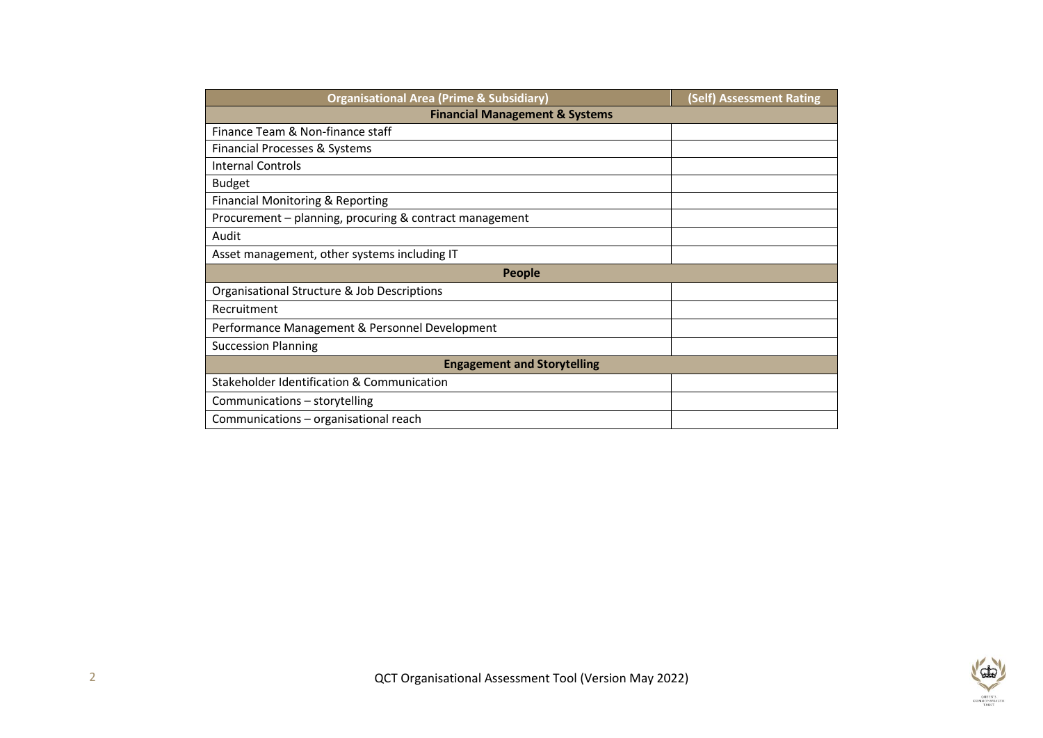| <b>Organisational Area (Prime &amp; Subsidiary)</b>     | <b>(Self) Assessment Rating</b> |  |  |  |  |  |
|---------------------------------------------------------|---------------------------------|--|--|--|--|--|
| <b>Financial Management &amp; Systems</b>               |                                 |  |  |  |  |  |
| Finance Team & Non-finance staff                        |                                 |  |  |  |  |  |
| Financial Processes & Systems                           |                                 |  |  |  |  |  |
| <b>Internal Controls</b>                                |                                 |  |  |  |  |  |
| <b>Budget</b>                                           |                                 |  |  |  |  |  |
| <b>Financial Monitoring &amp; Reporting</b>             |                                 |  |  |  |  |  |
| Procurement - planning, procuring & contract management |                                 |  |  |  |  |  |
| Audit                                                   |                                 |  |  |  |  |  |
| Asset management, other systems including IT            |                                 |  |  |  |  |  |
| People                                                  |                                 |  |  |  |  |  |
| Organisational Structure & Job Descriptions             |                                 |  |  |  |  |  |
| Recruitment                                             |                                 |  |  |  |  |  |
| Performance Management & Personnel Development          |                                 |  |  |  |  |  |
| <b>Succession Planning</b>                              |                                 |  |  |  |  |  |
| <b>Engagement and Storytelling</b>                      |                                 |  |  |  |  |  |
| Stakeholder Identification & Communication              |                                 |  |  |  |  |  |
| Communications - storytelling                           |                                 |  |  |  |  |  |
| Communications – organisational reach                   |                                 |  |  |  |  |  |

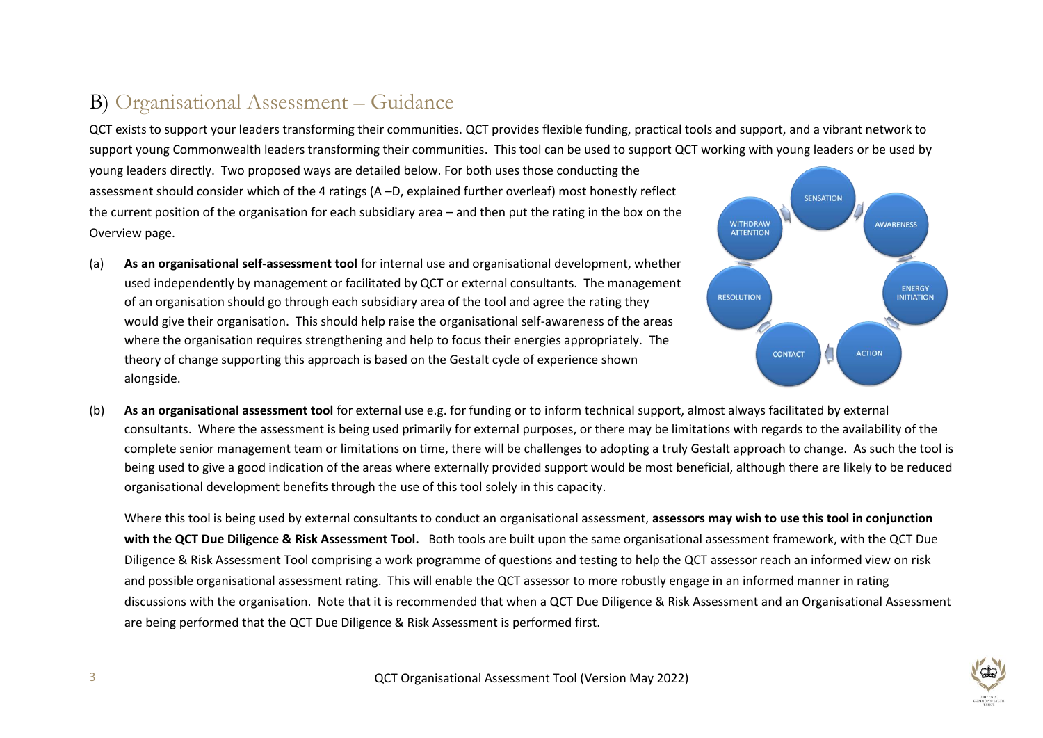#### B) Organisational Assessment – Guidance

QCT exists to support your leaders transforming their communities. QCT provides flexible funding, practical tools and support, and a vibrant network to support young Commonwealth leaders transforming their communities. This tool can be used to support QCT working with young leaders or be used by

young leaders directly. Two proposed ways are detailed below. For both uses those conducting the assessment should consider which of the 4 ratings (A –D, explained further overleaf) most honestly reflect the current position of the organisation for each subsidiary area – and then put the rating in the box on the Overview page.

(a) **As an organisational self-assessment tool** for internal use and organisational development, whether used independently by management or facilitated by QCT or external consultants. The management of an organisation should go through each subsidiary area of the tool and agree the rating they would give their organisation. This should help raise the organisational self-awareness of the areas where the organisation requires strengthening and help to focus their energies appropriately. The theory of change supporting this approach is based on the Gestalt cycle of experience shown alongside.



(b) **As an organisational assessment tool** for external use e.g. for funding or to inform technical support, almost always facilitated by external consultants. Where the assessment is being used primarily for external purposes, or there may be limitations with regards to the availability of the complete senior management team or limitations on time, there will be challenges to adopting a truly Gestalt approach to change. As such the tool is being used to give a good indication of the areas where externally provided support would be most beneficial, although there are likely to be reduced organisational development benefits through the use of this tool solely in this capacity.

Where this tool is being used by external consultants to conduct an organisational assessment, **assessors may wish to use this tool in conjunction with the QCT Due Diligence & Risk Assessment Tool.** Both tools are built upon the same organisational assessment framework, with the QCT Due Diligence & Risk Assessment Tool comprising a work programme of questions and testing to help the QCT assessor reach an informed view on risk and possible organisational assessment rating. This will enable the QCT assessor to more robustly engage in an informed manner in rating discussions with the organisation. Note that it is recommended that when a QCT Due Diligence & Risk Assessment and an Organisational Assessment are being performed that the QCT Due Diligence & Risk Assessment is performed first.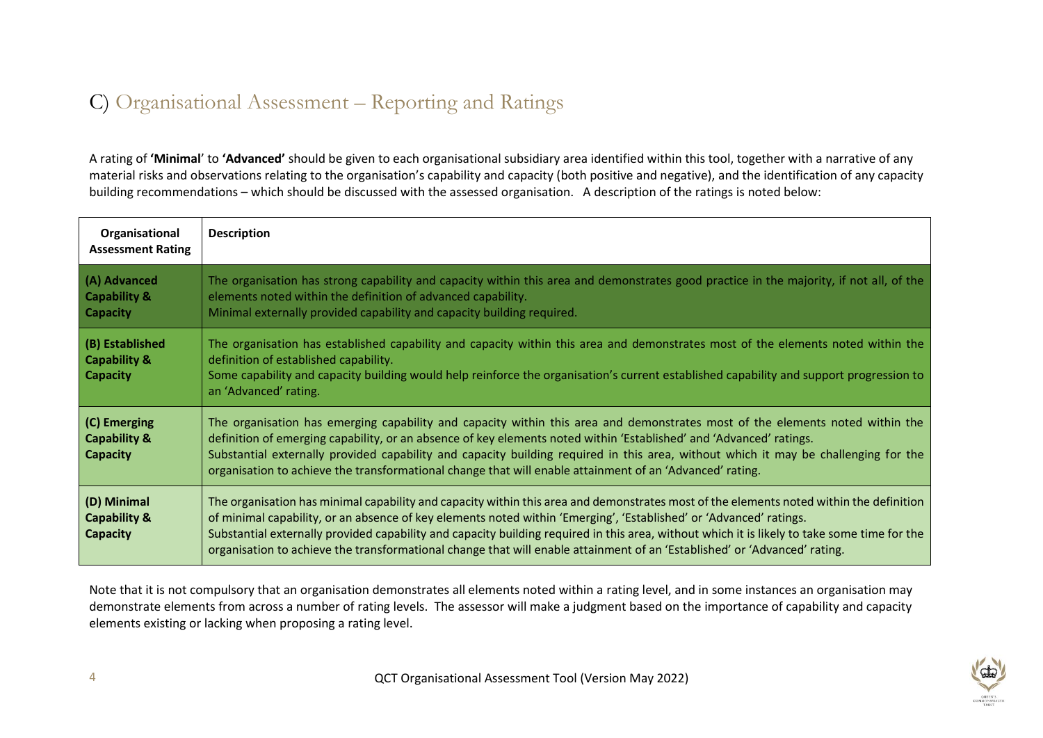#### C) Organisational Assessment – Reporting and Ratings

A rating of **'Minimal**' to **'Advanced'** should be given to each organisational subsidiary area identified within this tool, together with a narrative of any material risks and observations relating to the organisation's capability and capacity (both positive and negative), and the identification of any capacity building recommendations – which should be discussed with the assessed organisation. A description of the ratings is noted below:

| Organisational<br><b>Assessment Rating</b>                    | <b>Description</b>                                                                                                                                                                                                                                                                                                                                                                                                                                                                                                                         |
|---------------------------------------------------------------|--------------------------------------------------------------------------------------------------------------------------------------------------------------------------------------------------------------------------------------------------------------------------------------------------------------------------------------------------------------------------------------------------------------------------------------------------------------------------------------------------------------------------------------------|
| (A) Advanced<br><b>Capability &amp;</b><br><b>Capacity</b>    | The organisation has strong capability and capacity within this area and demonstrates good practice in the majority, if not all, of the<br>elements noted within the definition of advanced capability.<br>Minimal externally provided capability and capacity building required.                                                                                                                                                                                                                                                          |
| (B) Established<br><b>Capability &amp;</b><br><b>Capacity</b> | The organisation has established capability and capacity within this area and demonstrates most of the elements noted within the<br>definition of established capability.<br>Some capability and capacity building would help reinforce the organisation's current established capability and support progression to<br>an 'Advanced' rating.                                                                                                                                                                                              |
| (C) Emerging<br><b>Capability &amp;</b><br>Capacity           | The organisation has emerging capability and capacity within this area and demonstrates most of the elements noted within the<br>definition of emerging capability, or an absence of key elements noted within 'Established' and 'Advanced' ratings.<br>Substantial externally provided capability and capacity building required in this area, without which it may be challenging for the<br>organisation to achieve the transformational change that will enable attainment of an 'Advanced' rating.                                    |
| (D) Minimal<br><b>Capability &amp;</b><br>Capacity            | The organisation has minimal capability and capacity within this area and demonstrates most of the elements noted within the definition<br>of minimal capability, or an absence of key elements noted within 'Emerging', 'Established' or 'Advanced' ratings.<br>Substantial externally provided capability and capacity building required in this area, without which it is likely to take some time for the<br>organisation to achieve the transformational change that will enable attainment of an 'Established' or 'Advanced' rating. |

Note that it is not compulsory that an organisation demonstrates all elements noted within a rating level, and in some instances an organisation may demonstrate elements from across a number of rating levels. The assessor will make a judgment based on the importance of capability and capacity elements existing or lacking when proposing a rating level.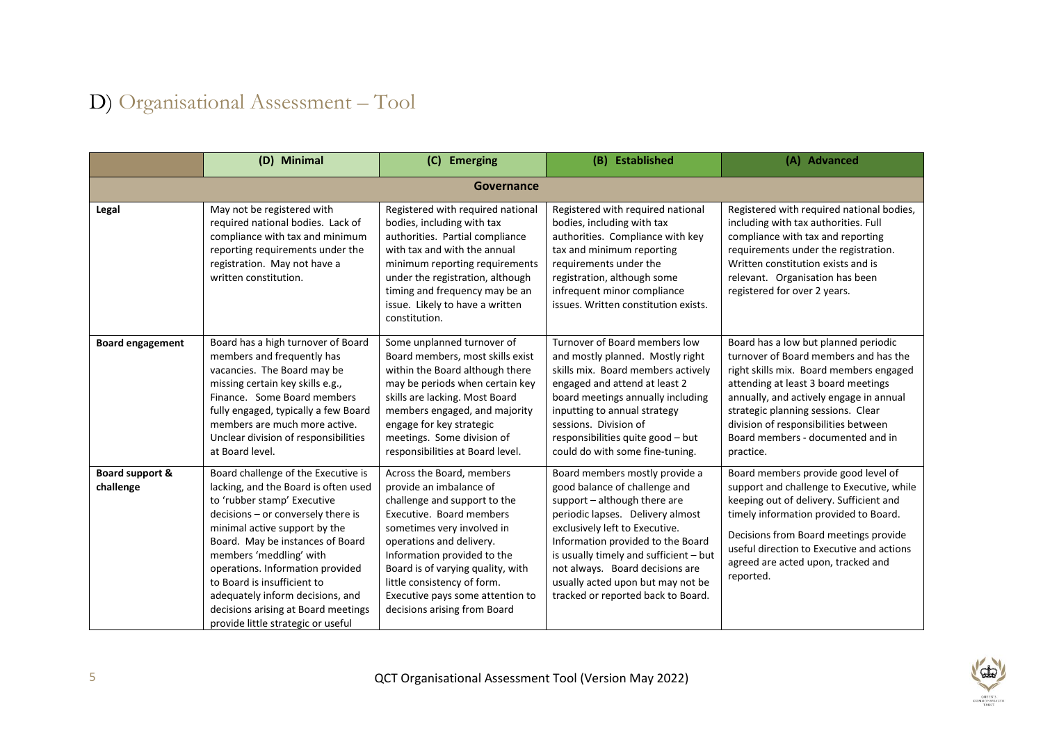## D) Organisational Assessment – Tool

|                              | (D) Minimal                                                                                                                                                                                                                                                                                                                                                                                                                          | (C) Emerging                                                                                                                                                                                                                                                                                                                                      | (B) Established                                                                                                                                                                                                                                                                                                                                                    | (A) Advanced                                                                                                                                                                                                                                                                                                                               |  |  |  |
|------------------------------|--------------------------------------------------------------------------------------------------------------------------------------------------------------------------------------------------------------------------------------------------------------------------------------------------------------------------------------------------------------------------------------------------------------------------------------|---------------------------------------------------------------------------------------------------------------------------------------------------------------------------------------------------------------------------------------------------------------------------------------------------------------------------------------------------|--------------------------------------------------------------------------------------------------------------------------------------------------------------------------------------------------------------------------------------------------------------------------------------------------------------------------------------------------------------------|--------------------------------------------------------------------------------------------------------------------------------------------------------------------------------------------------------------------------------------------------------------------------------------------------------------------------------------------|--|--|--|
|                              | Governance                                                                                                                                                                                                                                                                                                                                                                                                                           |                                                                                                                                                                                                                                                                                                                                                   |                                                                                                                                                                                                                                                                                                                                                                    |                                                                                                                                                                                                                                                                                                                                            |  |  |  |
| Legal                        | May not be registered with<br>required national bodies. Lack of<br>compliance with tax and minimum<br>reporting requirements under the<br>registration. May not have a<br>written constitution.                                                                                                                                                                                                                                      | Registered with required national<br>bodies, including with tax<br>authorities. Partial compliance<br>with tax and with the annual<br>minimum reporting requirements<br>under the registration, although<br>timing and frequency may be an<br>issue. Likely to have a written<br>constitution.                                                    | Registered with required national<br>bodies, including with tax<br>authorities. Compliance with key<br>tax and minimum reporting<br>requirements under the<br>registration, although some<br>infrequent minor compliance<br>issues. Written constitution exists.                                                                                                   | Registered with required national bodies,<br>including with tax authorities. Full<br>compliance with tax and reporting<br>requirements under the registration.<br>Written constitution exists and is<br>relevant. Organisation has been<br>registered for over 2 years.                                                                    |  |  |  |
| <b>Board engagement</b>      | Board has a high turnover of Board<br>members and frequently has<br>vacancies. The Board may be<br>missing certain key skills e.g.,<br>Finance. Some Board members<br>fully engaged, typically a few Board<br>members are much more active.<br>Unclear division of responsibilities<br>at Board level.                                                                                                                               | Some unplanned turnover of<br>Board members, most skills exist<br>within the Board although there<br>may be periods when certain key<br>skills are lacking. Most Board<br>members engaged, and majority<br>engage for key strategic<br>meetings. Some division of<br>responsibilities at Board level.                                             | Turnover of Board members low<br>and mostly planned. Mostly right<br>skills mix. Board members actively<br>engaged and attend at least 2<br>board meetings annually including<br>inputting to annual strategy<br>sessions. Division of<br>responsibilities quite good - but<br>could do with some fine-tuning.                                                     | Board has a low but planned periodic<br>turnover of Board members and has the<br>right skills mix. Board members engaged<br>attending at least 3 board meetings<br>annually, and actively engage in annual<br>strategic planning sessions. Clear<br>division of responsibilities between<br>Board members - documented and in<br>practice. |  |  |  |
| Board support &<br>challenge | Board challenge of the Executive is<br>lacking, and the Board is often used<br>to 'rubber stamp' Executive<br>decisions - or conversely there is<br>minimal active support by the<br>Board. May be instances of Board<br>members 'meddling' with<br>operations. Information provided<br>to Board is insufficient to<br>adequately inform decisions, and<br>decisions arising at Board meetings<br>provide little strategic or useful | Across the Board, members<br>provide an imbalance of<br>challenge and support to the<br>Executive. Board members<br>sometimes very involved in<br>operations and delivery.<br>Information provided to the<br>Board is of varying quality, with<br>little consistency of form.<br>Executive pays some attention to<br>decisions arising from Board | Board members mostly provide a<br>good balance of challenge and<br>support - although there are<br>periodic lapses. Delivery almost<br>exclusively left to Executive.<br>Information provided to the Board<br>is usually timely and sufficient - but<br>not always. Board decisions are<br>usually acted upon but may not be<br>tracked or reported back to Board. | Board members provide good level of<br>support and challenge to Executive, while<br>keeping out of delivery. Sufficient and<br>timely information provided to Board.<br>Decisions from Board meetings provide<br>useful direction to Executive and actions<br>agreed are acted upon, tracked and<br>reported.                              |  |  |  |

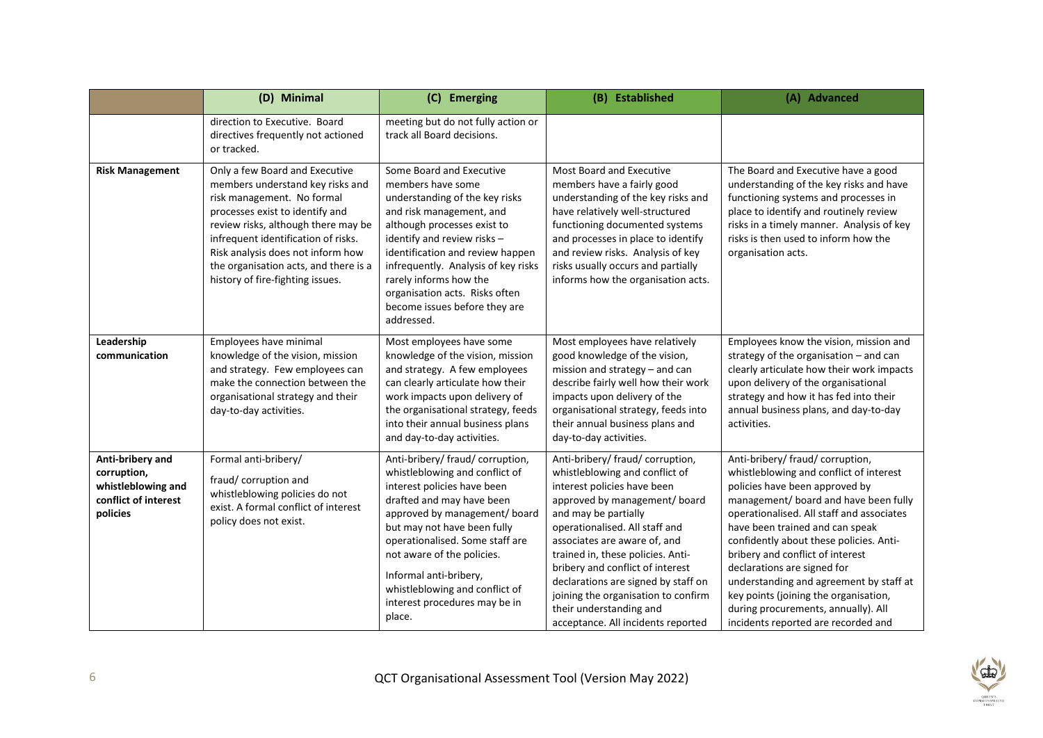|                                                                                           | (D) Minimal                                                                                                                                                                                                                                                                                                                         | (C) Emerging                                                                                                                                                                                                                                                                                                                                                           | (B) Established                                                                                                                                                                                                                                                                                                                                                                                                                                      | (A) Advanced                                                                                                                                                                                                                                                                                                                                                                                                                                                                                                           |
|-------------------------------------------------------------------------------------------|-------------------------------------------------------------------------------------------------------------------------------------------------------------------------------------------------------------------------------------------------------------------------------------------------------------------------------------|------------------------------------------------------------------------------------------------------------------------------------------------------------------------------------------------------------------------------------------------------------------------------------------------------------------------------------------------------------------------|------------------------------------------------------------------------------------------------------------------------------------------------------------------------------------------------------------------------------------------------------------------------------------------------------------------------------------------------------------------------------------------------------------------------------------------------------|------------------------------------------------------------------------------------------------------------------------------------------------------------------------------------------------------------------------------------------------------------------------------------------------------------------------------------------------------------------------------------------------------------------------------------------------------------------------------------------------------------------------|
|                                                                                           | direction to Executive. Board<br>directives frequently not actioned<br>or tracked.                                                                                                                                                                                                                                                  | meeting but do not fully action or<br>track all Board decisions.                                                                                                                                                                                                                                                                                                       |                                                                                                                                                                                                                                                                                                                                                                                                                                                      |                                                                                                                                                                                                                                                                                                                                                                                                                                                                                                                        |
| <b>Risk Management</b>                                                                    | Only a few Board and Executive<br>members understand key risks and<br>risk management. No formal<br>processes exist to identify and<br>review risks, although there may be<br>infrequent identification of risks.<br>Risk analysis does not inform how<br>the organisation acts, and there is a<br>history of fire-fighting issues. | Some Board and Executive<br>members have some<br>understanding of the key risks<br>and risk management, and<br>although processes exist to<br>identify and review risks -<br>identification and review happen<br>infrequently. Analysis of key risks<br>rarely informs how the<br>organisation acts. Risks often<br>become issues before they are<br>addressed.        | Most Board and Executive<br>members have a fairly good<br>understanding of the key risks and<br>have relatively well-structured<br>functioning documented systems<br>and processes in place to identify<br>and review risks. Analysis of key<br>risks usually occurs and partially<br>informs how the organisation acts.                                                                                                                             | The Board and Executive have a good<br>understanding of the key risks and have<br>functioning systems and processes in<br>place to identify and routinely review<br>risks in a timely manner. Analysis of key<br>risks is then used to inform how the<br>organisation acts.                                                                                                                                                                                                                                            |
| Leadership<br>communication                                                               | Employees have minimal<br>knowledge of the vision, mission<br>and strategy. Few employees can<br>make the connection between the<br>organisational strategy and their<br>day-to-day activities.                                                                                                                                     | Most employees have some<br>knowledge of the vision, mission<br>and strategy. A few employees<br>can clearly articulate how their<br>work impacts upon delivery of<br>the organisational strategy, feeds<br>into their annual business plans<br>and day-to-day activities.                                                                                             | Most employees have relatively<br>good knowledge of the vision,<br>mission and strategy - and can<br>describe fairly well how their work<br>impacts upon delivery of the<br>organisational strategy, feeds into<br>their annual business plans and<br>day-to-day activities.                                                                                                                                                                         | Employees know the vision, mission and<br>strategy of the organisation $-$ and can<br>clearly articulate how their work impacts<br>upon delivery of the organisational<br>strategy and how it has fed into their<br>annual business plans, and day-to-day<br>activities.                                                                                                                                                                                                                                               |
| Anti-bribery and<br>corruption,<br>whistleblowing and<br>conflict of interest<br>policies | Formal anti-bribery/<br>fraud/ corruption and<br>whistleblowing policies do not<br>exist. A formal conflict of interest<br>policy does not exist.                                                                                                                                                                                   | Anti-bribery/ fraud/ corruption,<br>whistleblowing and conflict of<br>interest policies have been<br>drafted and may have been<br>approved by management/ board<br>but may not have been fully<br>operationalised. Some staff are<br>not aware of the policies.<br>Informal anti-bribery,<br>whistleblowing and conflict of<br>interest procedures may be in<br>place. | Anti-bribery/ fraud/ corruption,<br>whistleblowing and conflict of<br>interest policies have been<br>approved by management/ board<br>and may be partially<br>operationalised. All staff and<br>associates are aware of, and<br>trained in, these policies. Anti-<br>bribery and conflict of interest<br>declarations are signed by staff on<br>joining the organisation to confirm<br>their understanding and<br>acceptance. All incidents reported | Anti-bribery/ fraud/ corruption,<br>whistleblowing and conflict of interest<br>policies have been approved by<br>management/ board and have been fully<br>operationalised. All staff and associates<br>have been trained and can speak<br>confidently about these policies. Anti-<br>bribery and conflict of interest<br>declarations are signed for<br>understanding and agreement by staff at<br>key points (joining the organisation,<br>during procurements, annually). All<br>incidents reported are recorded and |

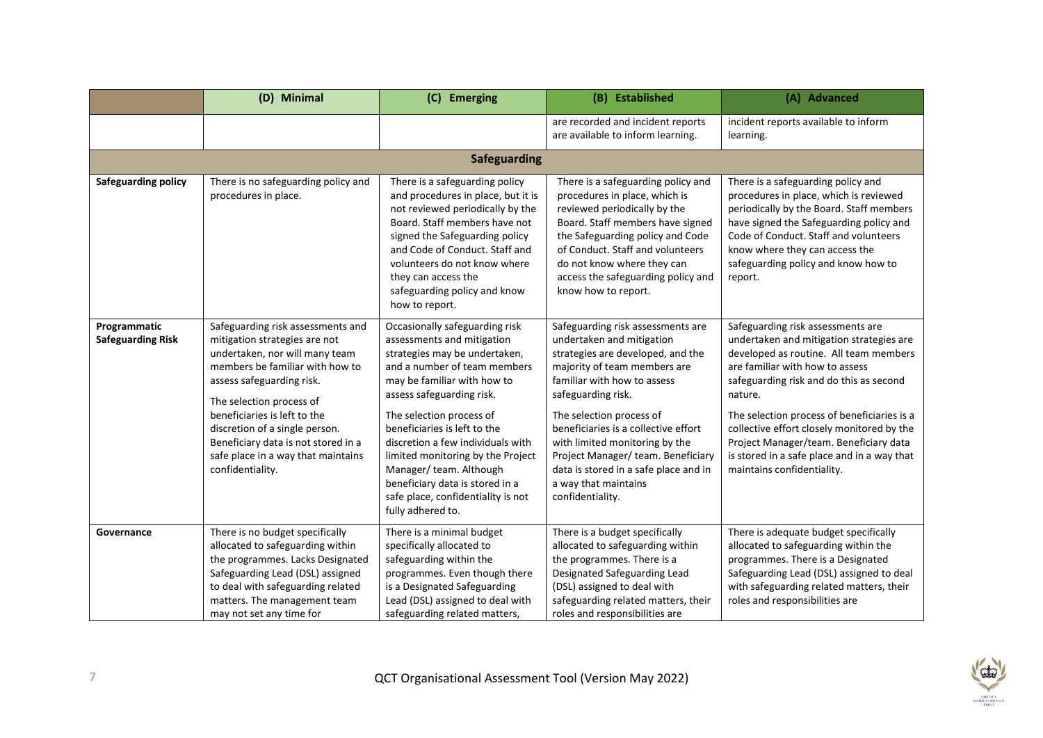|                                          | (D) Minimal                                                                                                                                                                                                                                                                                                                                                         | (C) Emerging                                                                                                                                                                                                                                                                                                                                                                                                                                            | (B) Established                                                                                                                                                                                                                                                                                                                                                                                                          | (A) Advanced                                                                                                                                                                                                                                                                                                                                                                                                                         |
|------------------------------------------|---------------------------------------------------------------------------------------------------------------------------------------------------------------------------------------------------------------------------------------------------------------------------------------------------------------------------------------------------------------------|---------------------------------------------------------------------------------------------------------------------------------------------------------------------------------------------------------------------------------------------------------------------------------------------------------------------------------------------------------------------------------------------------------------------------------------------------------|--------------------------------------------------------------------------------------------------------------------------------------------------------------------------------------------------------------------------------------------------------------------------------------------------------------------------------------------------------------------------------------------------------------------------|--------------------------------------------------------------------------------------------------------------------------------------------------------------------------------------------------------------------------------------------------------------------------------------------------------------------------------------------------------------------------------------------------------------------------------------|
|                                          |                                                                                                                                                                                                                                                                                                                                                                     |                                                                                                                                                                                                                                                                                                                                                                                                                                                         | are recorded and incident reports<br>are available to inform learning.                                                                                                                                                                                                                                                                                                                                                   | incident reports available to inform<br>learning.                                                                                                                                                                                                                                                                                                                                                                                    |
|                                          |                                                                                                                                                                                                                                                                                                                                                                     | <b>Safeguarding</b>                                                                                                                                                                                                                                                                                                                                                                                                                                     |                                                                                                                                                                                                                                                                                                                                                                                                                          |                                                                                                                                                                                                                                                                                                                                                                                                                                      |
| <b>Safeguarding policy</b>               | There is no safeguarding policy and<br>procedures in place.                                                                                                                                                                                                                                                                                                         | There is a safeguarding policy<br>and procedures in place, but it is<br>not reviewed periodically by the<br>Board. Staff members have not<br>signed the Safeguarding policy<br>and Code of Conduct. Staff and<br>volunteers do not know where<br>they can access the<br>safeguarding policy and know<br>how to report.                                                                                                                                  | There is a safeguarding policy and<br>procedures in place, which is<br>reviewed periodically by the<br>Board. Staff members have signed<br>the Safeguarding policy and Code<br>of Conduct. Staff and volunteers<br>do not know where they can<br>access the safeguarding policy and<br>know how to report.                                                                                                               | There is a safeguarding policy and<br>procedures in place, which is reviewed<br>periodically by the Board. Staff members<br>have signed the Safeguarding policy and<br>Code of Conduct. Staff and volunteers<br>know where they can access the<br>safeguarding policy and know how to<br>report.                                                                                                                                     |
| Programmatic<br><b>Safeguarding Risk</b> | Safeguarding risk assessments and<br>mitigation strategies are not<br>undertaken, nor will many team<br>members be familiar with how to<br>assess safeguarding risk.<br>The selection process of<br>beneficiaries is left to the<br>discretion of a single person.<br>Beneficiary data is not stored in a<br>safe place in a way that maintains<br>confidentiality. | Occasionally safeguarding risk<br>assessments and mitigation<br>strategies may be undertaken,<br>and a number of team members<br>may be familiar with how to<br>assess safeguarding risk.<br>The selection process of<br>beneficiaries is left to the<br>discretion a few individuals with<br>limited monitoring by the Project<br>Manager/team. Although<br>beneficiary data is stored in a<br>safe place, confidentiality is not<br>fully adhered to. | Safeguarding risk assessments are<br>undertaken and mitigation<br>strategies are developed, and the<br>majority of team members are<br>familiar with how to assess<br>safeguarding risk.<br>The selection process of<br>beneficiaries is a collective effort<br>with limited monitoring by the<br>Project Manager/team. Beneficiary<br>data is stored in a safe place and in<br>a way that maintains<br>confidentiality. | Safeguarding risk assessments are<br>undertaken and mitigation strategies are<br>developed as routine. All team members<br>are familiar with how to assess<br>safeguarding risk and do this as second<br>nature.<br>The selection process of beneficiaries is a<br>collective effort closely monitored by the<br>Project Manager/team. Beneficiary data<br>is stored in a safe place and in a way that<br>maintains confidentiality. |
| Governance                               | There is no budget specifically<br>allocated to safeguarding within<br>the programmes. Lacks Designated<br>Safeguarding Lead (DSL) assigned<br>to deal with safeguarding related<br>matters. The management team<br>may not set any time for                                                                                                                        | There is a minimal budget<br>specifically allocated to<br>safeguarding within the<br>programmes. Even though there<br>is a Designated Safeguarding<br>Lead (DSL) assigned to deal with<br>safeguarding related matters,                                                                                                                                                                                                                                 | There is a budget specifically<br>allocated to safeguarding within<br>the programmes. There is a<br>Designated Safeguarding Lead<br>(DSL) assigned to deal with<br>safeguarding related matters, their<br>roles and responsibilities are                                                                                                                                                                                 | There is adequate budget specifically<br>allocated to safeguarding within the<br>programmes. There is a Designated<br>Safeguarding Lead (DSL) assigned to deal<br>with safeguarding related matters, their<br>roles and responsibilities are                                                                                                                                                                                         |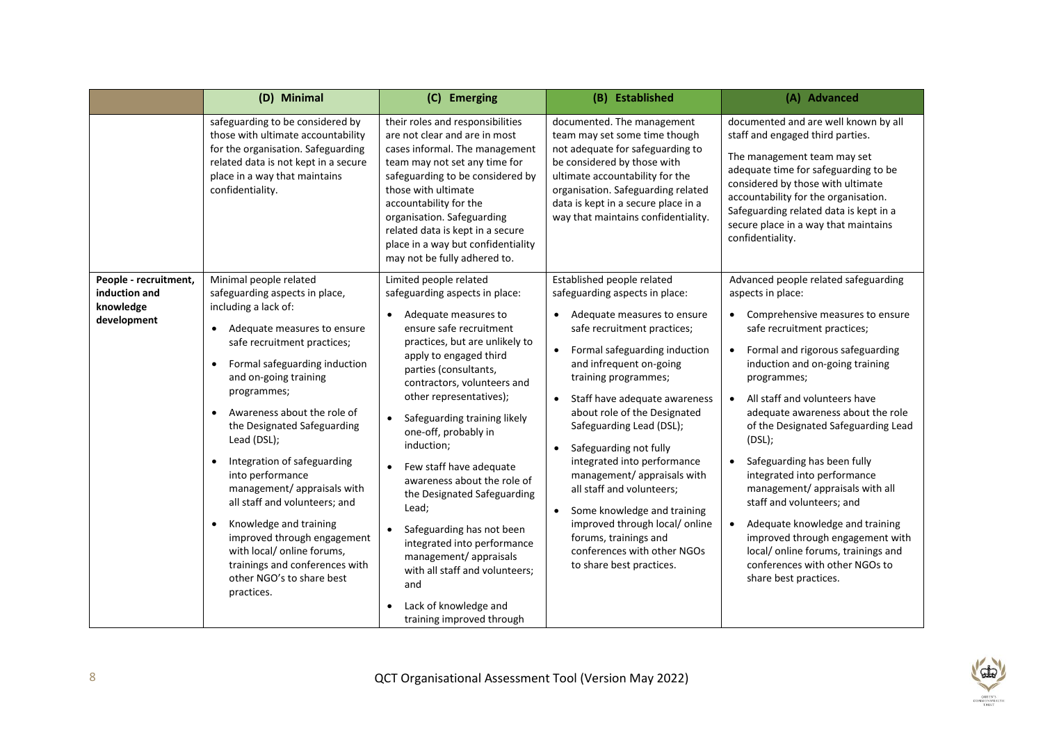|                                                                    | (D) Minimal                                                                                                                                                                                                                                                                                                                                                                                                                                                                                                                                                                                                           | (C) Emerging                                                                                                                                                                                                                                                                                                                                                                                                                                                                                                                                                                                                                                                                | (B) Established                                                                                                                                                                                                                                                                                                                                                                                                                                                                                                                                                                                                 | (A) Advanced                                                                                                                                                                                                                                                                                                                                                                                                                                                                                                                                                                                                                                                                           |
|--------------------------------------------------------------------|-----------------------------------------------------------------------------------------------------------------------------------------------------------------------------------------------------------------------------------------------------------------------------------------------------------------------------------------------------------------------------------------------------------------------------------------------------------------------------------------------------------------------------------------------------------------------------------------------------------------------|-----------------------------------------------------------------------------------------------------------------------------------------------------------------------------------------------------------------------------------------------------------------------------------------------------------------------------------------------------------------------------------------------------------------------------------------------------------------------------------------------------------------------------------------------------------------------------------------------------------------------------------------------------------------------------|-----------------------------------------------------------------------------------------------------------------------------------------------------------------------------------------------------------------------------------------------------------------------------------------------------------------------------------------------------------------------------------------------------------------------------------------------------------------------------------------------------------------------------------------------------------------------------------------------------------------|----------------------------------------------------------------------------------------------------------------------------------------------------------------------------------------------------------------------------------------------------------------------------------------------------------------------------------------------------------------------------------------------------------------------------------------------------------------------------------------------------------------------------------------------------------------------------------------------------------------------------------------------------------------------------------------|
|                                                                    | safeguarding to be considered by<br>those with ultimate accountability<br>for the organisation. Safeguarding<br>related data is not kept in a secure<br>place in a way that maintains<br>confidentiality.                                                                                                                                                                                                                                                                                                                                                                                                             | their roles and responsibilities<br>are not clear and are in most<br>cases informal. The management<br>team may not set any time for<br>safeguarding to be considered by<br>those with ultimate<br>accountability for the<br>organisation. Safeguarding<br>related data is kept in a secure<br>place in a way but confidentiality<br>may not be fully adhered to.                                                                                                                                                                                                                                                                                                           | documented. The management<br>team may set some time though<br>not adequate for safeguarding to<br>be considered by those with<br>ultimate accountability for the<br>organisation. Safeguarding related<br>data is kept in a secure place in a<br>way that maintains confidentiality.                                                                                                                                                                                                                                                                                                                           | documented and are well known by all<br>staff and engaged third parties.<br>The management team may set<br>adequate time for safeguarding to be<br>considered by those with ultimate<br>accountability for the organisation.<br>Safeguarding related data is kept in a<br>secure place in a way that maintains<br>confidentiality.                                                                                                                                                                                                                                                                                                                                                     |
| People - recruitment,<br>induction and<br>knowledge<br>development | Minimal people related<br>safeguarding aspects in place,<br>including a lack of:<br>Adequate measures to ensure<br>safe recruitment practices;<br>Formal safeguarding induction<br>and on-going training<br>programmes;<br>Awareness about the role of<br>the Designated Safeguarding<br>Lead (DSL);<br>Integration of safeguarding<br>$\bullet$<br>into performance<br>management/ appraisals with<br>all staff and volunteers: and<br>Knowledge and training<br>$\bullet$<br>improved through engagement<br>with local/ online forums,<br>trainings and conferences with<br>other NGO's to share best<br>practices. | Limited people related<br>safeguarding aspects in place:<br>Adequate measures to<br>$\bullet$<br>ensure safe recruitment<br>practices, but are unlikely to<br>apply to engaged third<br>parties (consultants,<br>contractors, volunteers and<br>other representatives);<br>Safeguarding training likely<br>$\bullet$<br>one-off, probably in<br>induction;<br>Few staff have adequate<br>$\bullet$<br>awareness about the role of<br>the Designated Safeguarding<br>Lead;<br>Safeguarding has not been<br>integrated into performance<br>management/ appraisals<br>with all staff and volunteers;<br>and<br>Lack of knowledge and<br>$\bullet$<br>training improved through | Established people related<br>safeguarding aspects in place:<br>Adequate measures to ensure<br>safe recruitment practices;<br>Formal safeguarding induction<br>$\bullet$<br>and infrequent on-going<br>training programmes;<br>Staff have adequate awareness<br>about role of the Designated<br>Safeguarding Lead (DSL);<br>Safeguarding not fully<br>integrated into performance<br>management/ appraisals with<br>all staff and volunteers;<br>Some knowledge and training<br>$\bullet$<br>improved through local/ online<br>forums, trainings and<br>conferences with other NGOs<br>to share best practices. | Advanced people related safeguarding<br>aspects in place:<br>Comprehensive measures to ensure<br>$\bullet$<br>safe recruitment practices;<br>Formal and rigorous safeguarding<br>$\bullet$<br>induction and on-going training<br>programmes;<br>All staff and volunteers have<br>$\bullet$<br>adequate awareness about the role<br>of the Designated Safeguarding Lead<br>(DSL);<br>Safeguarding has been fully<br>integrated into performance<br>management/ appraisals with all<br>staff and volunteers; and<br>Adequate knowledge and training<br>improved through engagement with<br>local/online forums, trainings and<br>conferences with other NGOs to<br>share best practices. |

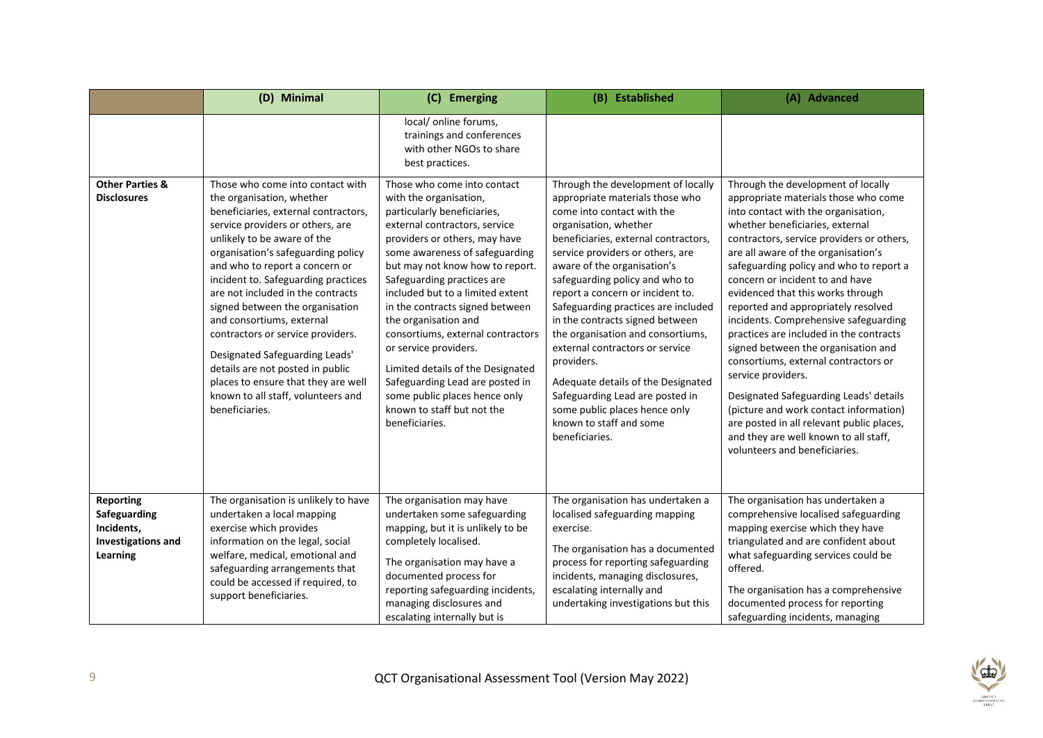|                                                                                         | (D) Minimal                                                                                                                                                                                                                                                                                                                                                                                                                                                                                                                           | (C) Emerging                                                                                                                                                                                                                                                                                                                                                                                                                                                                                                           | (B) Established                                                                                                                                                                                                                                                                                                                                                                                                                                                                                                                                             | (A) Advanced                                                                                                                                                                                                                                                                                                                                                                                                                                                                                                                                                                                                                                                                                                             |
|-----------------------------------------------------------------------------------------|---------------------------------------------------------------------------------------------------------------------------------------------------------------------------------------------------------------------------------------------------------------------------------------------------------------------------------------------------------------------------------------------------------------------------------------------------------------------------------------------------------------------------------------|------------------------------------------------------------------------------------------------------------------------------------------------------------------------------------------------------------------------------------------------------------------------------------------------------------------------------------------------------------------------------------------------------------------------------------------------------------------------------------------------------------------------|-------------------------------------------------------------------------------------------------------------------------------------------------------------------------------------------------------------------------------------------------------------------------------------------------------------------------------------------------------------------------------------------------------------------------------------------------------------------------------------------------------------------------------------------------------------|--------------------------------------------------------------------------------------------------------------------------------------------------------------------------------------------------------------------------------------------------------------------------------------------------------------------------------------------------------------------------------------------------------------------------------------------------------------------------------------------------------------------------------------------------------------------------------------------------------------------------------------------------------------------------------------------------------------------------|
| <b>Other Parties &amp;</b><br><b>Disclosures</b>                                        | Those who come into contact with<br>the organisation, whether                                                                                                                                                                                                                                                                                                                                                                                                                                                                         | local/ online forums,<br>trainings and conferences<br>with other NGOs to share<br>best practices.<br>Those who come into contact<br>with the organisation,                                                                                                                                                                                                                                                                                                                                                             | Through the development of locally<br>appropriate materials those who                                                                                                                                                                                                                                                                                                                                                                                                                                                                                       | Through the development of locally<br>appropriate materials those who come                                                                                                                                                                                                                                                                                                                                                                                                                                                                                                                                                                                                                                               |
|                                                                                         | beneficiaries, external contractors,<br>service providers or others, are<br>unlikely to be aware of the<br>organisation's safeguarding policy<br>and who to report a concern or<br>incident to. Safeguarding practices<br>are not included in the contracts<br>signed between the organisation<br>and consortiums, external<br>contractors or service providers.<br>Designated Safeguarding Leads'<br>details are not posted in public<br>places to ensure that they are well<br>known to all staff, volunteers and<br>beneficiaries. | particularly beneficiaries,<br>external contractors, service<br>providers or others, may have<br>some awareness of safeguarding<br>but may not know how to report.<br>Safeguarding practices are<br>included but to a limited extent<br>in the contracts signed between<br>the organisation and<br>consortiums, external contractors<br>or service providers.<br>Limited details of the Designated<br>Safeguarding Lead are posted in<br>some public places hence only<br>known to staff but not the<br>beneficiaries. | come into contact with the<br>organisation, whether<br>beneficiaries, external contractors,<br>service providers or others, are<br>aware of the organisation's<br>safeguarding policy and who to<br>report a concern or incident to.<br>Safeguarding practices are included<br>in the contracts signed between<br>the organisation and consortiums,<br>external contractors or service<br>providers.<br>Adequate details of the Designated<br>Safeguarding Lead are posted in<br>some public places hence only<br>known to staff and some<br>beneficiaries. | into contact with the organisation,<br>whether beneficiaries, external<br>contractors, service providers or others,<br>are all aware of the organisation's<br>safeguarding policy and who to report a<br>concern or incident to and have<br>evidenced that this works through<br>reported and appropriately resolved<br>incidents. Comprehensive safeguarding<br>practices are included in the contracts<br>signed between the organisation and<br>consortiums, external contractors or<br>service providers.<br>Designated Safeguarding Leads' details<br>(picture and work contact information)<br>are posted in all relevant public places,<br>and they are well known to all staff,<br>volunteers and beneficiaries. |
| <b>Reporting</b><br>Safeguarding<br>Incidents,<br><b>Investigations and</b><br>Learning | The organisation is unlikely to have<br>undertaken a local mapping<br>exercise which provides<br>information on the legal, social<br>welfare, medical, emotional and<br>safeguarding arrangements that<br>could be accessed if required, to<br>support beneficiaries.                                                                                                                                                                                                                                                                 | The organisation may have<br>undertaken some safeguarding<br>mapping, but it is unlikely to be<br>completely localised.<br>The organisation may have a<br>documented process for<br>reporting safeguarding incidents,<br>managing disclosures and<br>escalating internally but is                                                                                                                                                                                                                                      | The organisation has undertaken a<br>localised safeguarding mapping<br>exercise.<br>The organisation has a documented<br>process for reporting safeguarding<br>incidents, managing disclosures,<br>escalating internally and<br>undertaking investigations but this                                                                                                                                                                                                                                                                                         | The organisation has undertaken a<br>comprehensive localised safeguarding<br>mapping exercise which they have<br>triangulated and are confident about<br>what safeguarding services could be<br>offered.<br>The organisation has a comprehensive<br>documented process for reporting<br>safeguarding incidents, managing                                                                                                                                                                                                                                                                                                                                                                                                 |

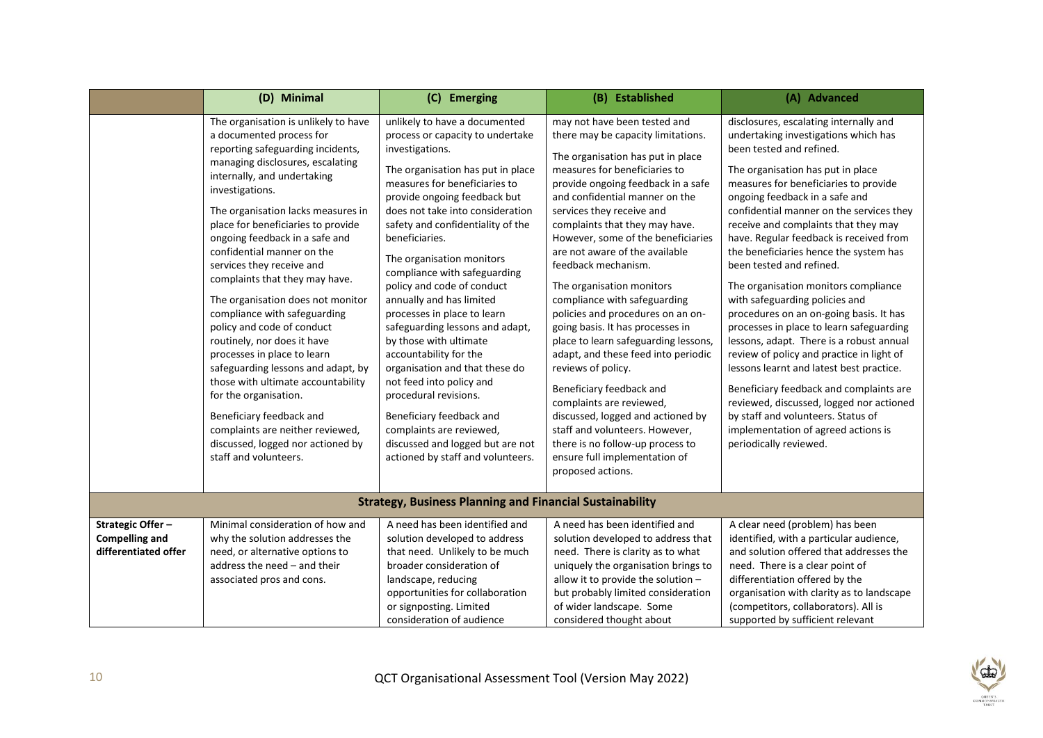|                                                                   | (D) Minimal                                                                                                                                                                                                                                                                                                                                                                                                                                                                                                                                                                                                                                                                                                                                                                                                | (C) Emerging                                                                                                                                                                                                                                                                                                                                                                                                                                                                                                                                                                                                                                                                                                                                               | (B) Established                                                                                                                                                                                                                                                                                                                                                                                                                                                                                                                                                                                                                                                                                                                                                                                                                                    | (A) Advanced                                                                                                                                                                                                                                                                                                                                                                                                                                                                                                                                                                                                                                                                                                                                                                                                                                                                                                                        |
|-------------------------------------------------------------------|------------------------------------------------------------------------------------------------------------------------------------------------------------------------------------------------------------------------------------------------------------------------------------------------------------------------------------------------------------------------------------------------------------------------------------------------------------------------------------------------------------------------------------------------------------------------------------------------------------------------------------------------------------------------------------------------------------------------------------------------------------------------------------------------------------|------------------------------------------------------------------------------------------------------------------------------------------------------------------------------------------------------------------------------------------------------------------------------------------------------------------------------------------------------------------------------------------------------------------------------------------------------------------------------------------------------------------------------------------------------------------------------------------------------------------------------------------------------------------------------------------------------------------------------------------------------------|----------------------------------------------------------------------------------------------------------------------------------------------------------------------------------------------------------------------------------------------------------------------------------------------------------------------------------------------------------------------------------------------------------------------------------------------------------------------------------------------------------------------------------------------------------------------------------------------------------------------------------------------------------------------------------------------------------------------------------------------------------------------------------------------------------------------------------------------------|-------------------------------------------------------------------------------------------------------------------------------------------------------------------------------------------------------------------------------------------------------------------------------------------------------------------------------------------------------------------------------------------------------------------------------------------------------------------------------------------------------------------------------------------------------------------------------------------------------------------------------------------------------------------------------------------------------------------------------------------------------------------------------------------------------------------------------------------------------------------------------------------------------------------------------------|
|                                                                   | The organisation is unlikely to have<br>a documented process for<br>reporting safeguarding incidents,<br>managing disclosures, escalating<br>internally, and undertaking<br>investigations.<br>The organisation lacks measures in<br>place for beneficiaries to provide<br>ongoing feedback in a safe and<br>confidential manner on the<br>services they receive and<br>complaints that they may have.<br>The organisation does not monitor<br>compliance with safeguarding<br>policy and code of conduct<br>routinely, nor does it have<br>processes in place to learn<br>safeguarding lessons and adapt, by<br>those with ultimate accountability<br>for the organisation.<br>Beneficiary feedback and<br>complaints are neither reviewed,<br>discussed, logged nor actioned by<br>staff and volunteers. | unlikely to have a documented<br>process or capacity to undertake<br>investigations.<br>The organisation has put in place<br>measures for beneficiaries to<br>provide ongoing feedback but<br>does not take into consideration<br>safety and confidentiality of the<br>beneficiaries.<br>The organisation monitors<br>compliance with safeguarding<br>policy and code of conduct<br>annually and has limited<br>processes in place to learn<br>safeguarding lessons and adapt,<br>by those with ultimate<br>accountability for the<br>organisation and that these do<br>not feed into policy and<br>procedural revisions.<br>Beneficiary feedback and<br>complaints are reviewed,<br>discussed and logged but are not<br>actioned by staff and volunteers. | may not have been tested and<br>there may be capacity limitations.<br>The organisation has put in place<br>measures for beneficiaries to<br>provide ongoing feedback in a safe<br>and confidential manner on the<br>services they receive and<br>complaints that they may have.<br>However, some of the beneficiaries<br>are not aware of the available<br>feedback mechanism.<br>The organisation monitors<br>compliance with safeguarding<br>policies and procedures on an on-<br>going basis. It has processes in<br>place to learn safeguarding lessons,<br>adapt, and these feed into periodic<br>reviews of policy.<br>Beneficiary feedback and<br>complaints are reviewed,<br>discussed, logged and actioned by<br>staff and volunteers. However,<br>there is no follow-up process to<br>ensure full implementation of<br>proposed actions. | disclosures, escalating internally and<br>undertaking investigations which has<br>been tested and refined.<br>The organisation has put in place<br>measures for beneficiaries to provide<br>ongoing feedback in a safe and<br>confidential manner on the services they<br>receive and complaints that they may<br>have. Regular feedback is received from<br>the beneficiaries hence the system has<br>been tested and refined.<br>The organisation monitors compliance<br>with safeguarding policies and<br>procedures on an on-going basis. It has<br>processes in place to learn safeguarding<br>lessons, adapt. There is a robust annual<br>review of policy and practice in light of<br>lessons learnt and latest best practice.<br>Beneficiary feedback and complaints are<br>reviewed, discussed, logged nor actioned<br>by staff and volunteers. Status of<br>implementation of agreed actions is<br>periodically reviewed. |
|                                                                   |                                                                                                                                                                                                                                                                                                                                                                                                                                                                                                                                                                                                                                                                                                                                                                                                            | <b>Strategy, Business Planning and Financial Sustainability</b>                                                                                                                                                                                                                                                                                                                                                                                                                                                                                                                                                                                                                                                                                            |                                                                                                                                                                                                                                                                                                                                                                                                                                                                                                                                                                                                                                                                                                                                                                                                                                                    |                                                                                                                                                                                                                                                                                                                                                                                                                                                                                                                                                                                                                                                                                                                                                                                                                                                                                                                                     |
| Strategic Offer-<br><b>Compelling and</b><br>differentiated offer | Minimal consideration of how and<br>why the solution addresses the<br>need, or alternative options to<br>address the need - and their<br>associated pros and cons.                                                                                                                                                                                                                                                                                                                                                                                                                                                                                                                                                                                                                                         | A need has been identified and<br>solution developed to address<br>that need. Unlikely to be much<br>broader consideration of<br>landscape, reducing<br>opportunities for collaboration<br>or signposting. Limited<br>consideration of audience                                                                                                                                                                                                                                                                                                                                                                                                                                                                                                            | A need has been identified and<br>solution developed to address that<br>need. There is clarity as to what<br>uniquely the organisation brings to<br>allow it to provide the solution -<br>but probably limited consideration<br>of wider landscape. Some<br>considered thought about                                                                                                                                                                                                                                                                                                                                                                                                                                                                                                                                                               | A clear need (problem) has been<br>identified, with a particular audience,<br>and solution offered that addresses the<br>need. There is a clear point of<br>differentiation offered by the<br>organisation with clarity as to landscape<br>(competitors, collaborators). All is<br>supported by sufficient relevant                                                                                                                                                                                                                                                                                                                                                                                                                                                                                                                                                                                                                 |

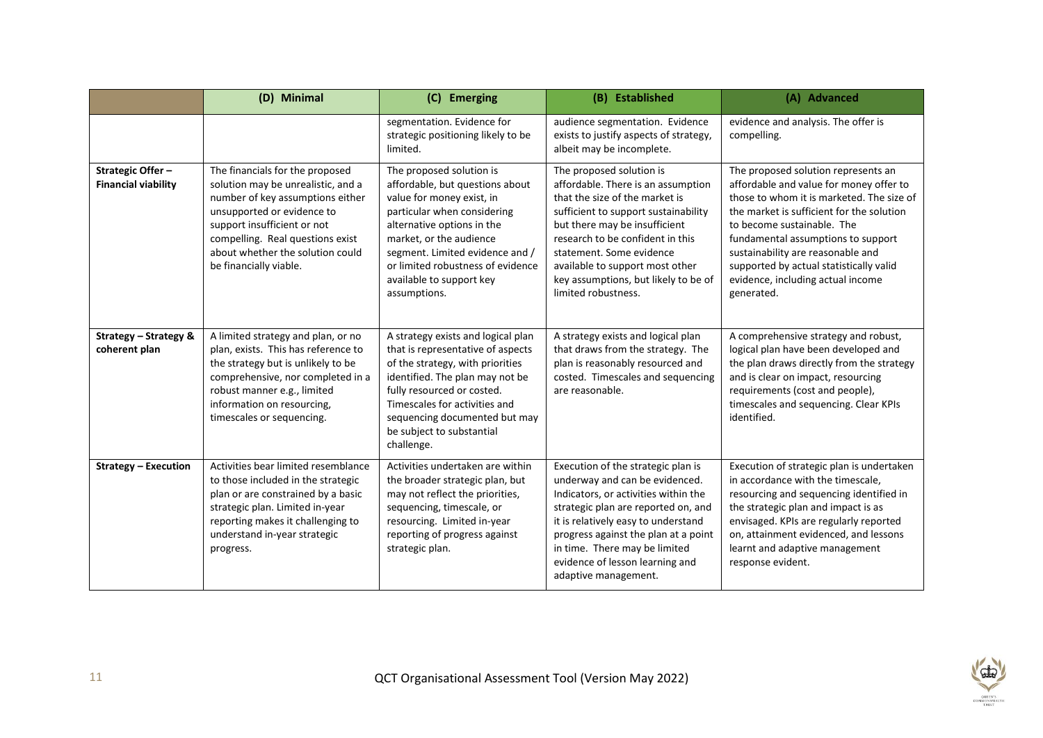|                                                       | (D) Minimal                                                                                                                                                                                                                                                              | (C) Emerging                                                                                                                                                                                                                                                                                         | (B) Established                                                                                                                                                                                                                                                                                                                             | (A) Advanced                                                                                                                                                                                                                                                                                                                                                                    |
|-------------------------------------------------------|--------------------------------------------------------------------------------------------------------------------------------------------------------------------------------------------------------------------------------------------------------------------------|------------------------------------------------------------------------------------------------------------------------------------------------------------------------------------------------------------------------------------------------------------------------------------------------------|---------------------------------------------------------------------------------------------------------------------------------------------------------------------------------------------------------------------------------------------------------------------------------------------------------------------------------------------|---------------------------------------------------------------------------------------------------------------------------------------------------------------------------------------------------------------------------------------------------------------------------------------------------------------------------------------------------------------------------------|
|                                                       |                                                                                                                                                                                                                                                                          | segmentation. Evidence for<br>strategic positioning likely to be<br>limited.                                                                                                                                                                                                                         | audience segmentation. Evidence<br>exists to justify aspects of strategy,<br>albeit may be incomplete.                                                                                                                                                                                                                                      | evidence and analysis. The offer is<br>compelling.                                                                                                                                                                                                                                                                                                                              |
| <b>Strategic Offer-</b><br><b>Financial viability</b> | The financials for the proposed<br>solution may be unrealistic, and a<br>number of key assumptions either<br>unsupported or evidence to<br>support insufficient or not<br>compelling. Real questions exist<br>about whether the solution could<br>be financially viable. | The proposed solution is<br>affordable, but questions about<br>value for money exist, in<br>particular when considering<br>alternative options in the<br>market, or the audience<br>segment. Limited evidence and /<br>or limited robustness of evidence<br>available to support key<br>assumptions. | The proposed solution is<br>affordable. There is an assumption<br>that the size of the market is<br>sufficient to support sustainability<br>but there may be insufficient<br>research to be confident in this<br>statement. Some evidence<br>available to support most other<br>key assumptions, but likely to be of<br>limited robustness. | The proposed solution represents an<br>affordable and value for money offer to<br>those to whom it is marketed. The size of<br>the market is sufficient for the solution<br>to become sustainable. The<br>fundamental assumptions to support<br>sustainability are reasonable and<br>supported by actual statistically valid<br>evidence, including actual income<br>generated. |
| Strategy - Strategy &<br>coherent plan                | A limited strategy and plan, or no<br>plan, exists. This has reference to<br>the strategy but is unlikely to be<br>comprehensive, nor completed in a<br>robust manner e.g., limited<br>information on resourcing,<br>timescales or sequencing.                           | A strategy exists and logical plan<br>that is representative of aspects<br>of the strategy, with priorities<br>identified. The plan may not be<br>fully resourced or costed.<br>Timescales for activities and<br>sequencing documented but may<br>be subject to substantial<br>challenge.            | A strategy exists and logical plan<br>that draws from the strategy. The<br>plan is reasonably resourced and<br>costed. Timescales and sequencing<br>are reasonable.                                                                                                                                                                         | A comprehensive strategy and robust,<br>logical plan have been developed and<br>the plan draws directly from the strategy<br>and is clear on impact, resourcing<br>requirements (cost and people),<br>timescales and sequencing. Clear KPIs<br>identified.                                                                                                                      |
| <b>Strategy - Execution</b>                           | Activities bear limited resemblance<br>to those included in the strategic<br>plan or are constrained by a basic<br>strategic plan. Limited in-year<br>reporting makes it challenging to<br>understand in-year strategic<br>progress.                                     | Activities undertaken are within<br>the broader strategic plan, but<br>may not reflect the priorities,<br>sequencing, timescale, or<br>resourcing. Limited in-year<br>reporting of progress against<br>strategic plan.                                                                               | Execution of the strategic plan is<br>underway and can be evidenced.<br>Indicators, or activities within the<br>strategic plan are reported on, and<br>it is relatively easy to understand<br>progress against the plan at a point<br>in time. There may be limited<br>evidence of lesson learning and<br>adaptive management.              | Execution of strategic plan is undertaken<br>in accordance with the timescale,<br>resourcing and sequencing identified in<br>the strategic plan and impact is as<br>envisaged. KPIs are regularly reported<br>on, attainment evidenced, and lessons<br>learnt and adaptive management<br>response evident.                                                                      |

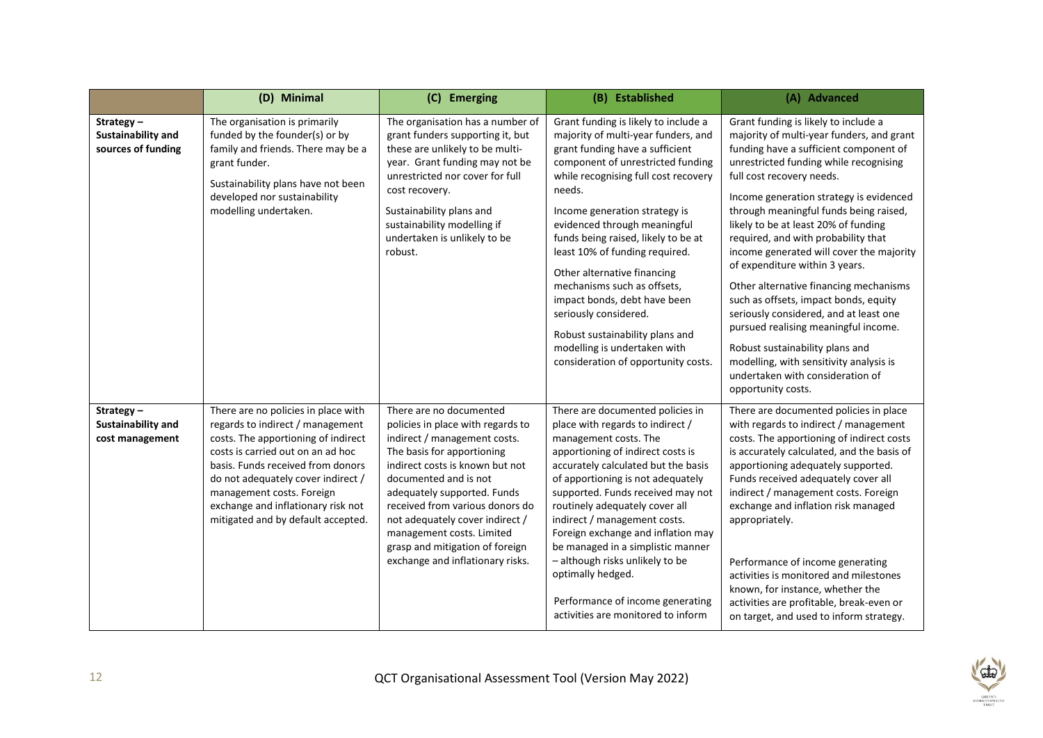|                                                       | (D) Minimal                                                                                                                                                                                                                                                                                                                             | (C) Emerging                                                                                                                                                                                                                                                                                                                                                                                    | (B) Established                                                                                                                                                                                                                                                                                                                                                                                                                                                                                                                                                                  | (A) Advanced                                                                                                                                                                                                                                                                                                                                                                                                                                                                                                                                                                                                                                                                                                                                                      |
|-------------------------------------------------------|-----------------------------------------------------------------------------------------------------------------------------------------------------------------------------------------------------------------------------------------------------------------------------------------------------------------------------------------|-------------------------------------------------------------------------------------------------------------------------------------------------------------------------------------------------------------------------------------------------------------------------------------------------------------------------------------------------------------------------------------------------|----------------------------------------------------------------------------------------------------------------------------------------------------------------------------------------------------------------------------------------------------------------------------------------------------------------------------------------------------------------------------------------------------------------------------------------------------------------------------------------------------------------------------------------------------------------------------------|-------------------------------------------------------------------------------------------------------------------------------------------------------------------------------------------------------------------------------------------------------------------------------------------------------------------------------------------------------------------------------------------------------------------------------------------------------------------------------------------------------------------------------------------------------------------------------------------------------------------------------------------------------------------------------------------------------------------------------------------------------------------|
| Strategy-<br>Sustainability and<br>sources of funding | The organisation is primarily<br>funded by the founder(s) or by<br>family and friends. There may be a<br>grant funder.<br>Sustainability plans have not been<br>developed nor sustainability<br>modelling undertaken.                                                                                                                   | The organisation has a number of<br>grant funders supporting it, but<br>these are unlikely to be multi-<br>year. Grant funding may not be<br>unrestricted nor cover for full<br>cost recovery.<br>Sustainability plans and<br>sustainability modelling if<br>undertaken is unlikely to be<br>robust.                                                                                            | Grant funding is likely to include a<br>majority of multi-year funders, and<br>grant funding have a sufficient<br>component of unrestricted funding<br>while recognising full cost recovery<br>needs.<br>Income generation strategy is<br>evidenced through meaningful<br>funds being raised, likely to be at<br>least 10% of funding required.<br>Other alternative financing<br>mechanisms such as offsets,<br>impact bonds, debt have been<br>seriously considered.<br>Robust sustainability plans and<br>modelling is undertaken with<br>consideration of opportunity costs. | Grant funding is likely to include a<br>majority of multi-year funders, and grant<br>funding have a sufficient component of<br>unrestricted funding while recognising<br>full cost recovery needs.<br>Income generation strategy is evidenced<br>through meaningful funds being raised,<br>likely to be at least 20% of funding<br>required, and with probability that<br>income generated will cover the majority<br>of expenditure within 3 years.<br>Other alternative financing mechanisms<br>such as offsets, impact bonds, equity<br>seriously considered, and at least one<br>pursued realising meaningful income.<br>Robust sustainability plans and<br>modelling, with sensitivity analysis is<br>undertaken with consideration of<br>opportunity costs. |
| Strategy-<br>Sustainability and<br>cost management    | There are no policies in place with<br>regards to indirect / management<br>costs. The apportioning of indirect<br>costs is carried out on an ad hoc<br>basis. Funds received from donors<br>do not adequately cover indirect /<br>management costs. Foreign<br>exchange and inflationary risk not<br>mitigated and by default accepted. | There are no documented<br>policies in place with regards to<br>indirect / management costs.<br>The basis for apportioning<br>indirect costs is known but not<br>documented and is not<br>adequately supported. Funds<br>received from various donors do<br>not adequately cover indirect /<br>management costs. Limited<br>grasp and mitigation of foreign<br>exchange and inflationary risks. | There are documented policies in<br>place with regards to indirect /<br>management costs. The<br>apportioning of indirect costs is<br>accurately calculated but the basis<br>of apportioning is not adequately<br>supported. Funds received may not<br>routinely adequately cover all<br>indirect / management costs.<br>Foreign exchange and inflation may<br>be managed in a simplistic manner<br>- although risks unlikely to be<br>optimally hedged.<br>Performance of income generating<br>activities are monitored to inform                                               | There are documented policies in place<br>with regards to indirect / management<br>costs. The apportioning of indirect costs<br>is accurately calculated, and the basis of<br>apportioning adequately supported.<br>Funds received adequately cover all<br>indirect / management costs. Foreign<br>exchange and inflation risk managed<br>appropriately.<br>Performance of income generating<br>activities is monitored and milestones<br>known, for instance, whether the<br>activities are profitable, break-even or<br>on target, and used to inform strategy.                                                                                                                                                                                                 |

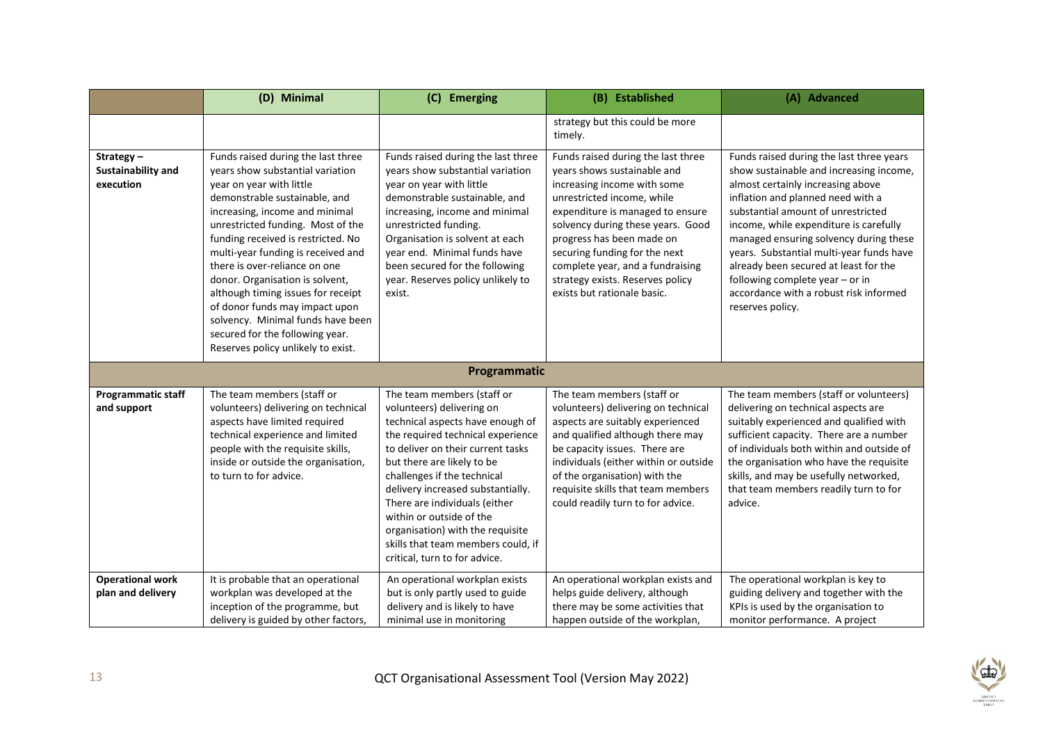|                                              | (D) Minimal                                                                                                                                                                                                                                                                                                                                                                                                                                                                                                                                      | (C) Emerging                                                                                                                                                                                                                                                                                                                                                                                                                                    | (B) Established                                                                                                                                                                                                                                                                                                                                                              | (A) Advanced                                                                                                                                                                                                                                                                                                                                                                                                                                                                  |
|----------------------------------------------|--------------------------------------------------------------------------------------------------------------------------------------------------------------------------------------------------------------------------------------------------------------------------------------------------------------------------------------------------------------------------------------------------------------------------------------------------------------------------------------------------------------------------------------------------|-------------------------------------------------------------------------------------------------------------------------------------------------------------------------------------------------------------------------------------------------------------------------------------------------------------------------------------------------------------------------------------------------------------------------------------------------|------------------------------------------------------------------------------------------------------------------------------------------------------------------------------------------------------------------------------------------------------------------------------------------------------------------------------------------------------------------------------|-------------------------------------------------------------------------------------------------------------------------------------------------------------------------------------------------------------------------------------------------------------------------------------------------------------------------------------------------------------------------------------------------------------------------------------------------------------------------------|
|                                              |                                                                                                                                                                                                                                                                                                                                                                                                                                                                                                                                                  |                                                                                                                                                                                                                                                                                                                                                                                                                                                 | strategy but this could be more<br>timely.                                                                                                                                                                                                                                                                                                                                   |                                                                                                                                                                                                                                                                                                                                                                                                                                                                               |
| Strategy-<br>Sustainability and<br>execution | Funds raised during the last three<br>years show substantial variation<br>year on year with little<br>demonstrable sustainable, and<br>increasing, income and minimal<br>unrestricted funding. Most of the<br>funding received is restricted. No<br>multi-year funding is received and<br>there is over-reliance on one<br>donor. Organisation is solvent,<br>although timing issues for receipt<br>of donor funds may impact upon<br>solvency. Minimal funds have been<br>secured for the following year.<br>Reserves policy unlikely to exist. | Funds raised during the last three<br>years show substantial variation<br>year on year with little<br>demonstrable sustainable, and<br>increasing, income and minimal<br>unrestricted funding.<br>Organisation is solvent at each<br>year end. Minimal funds have<br>been secured for the following<br>year. Reserves policy unlikely to<br>exist.                                                                                              | Funds raised during the last three<br>years shows sustainable and<br>increasing income with some<br>unrestricted income, while<br>expenditure is managed to ensure<br>solvency during these years. Good<br>progress has been made on<br>securing funding for the next<br>complete year, and a fundraising<br>strategy exists. Reserves policy<br>exists but rationale basic. | Funds raised during the last three years<br>show sustainable and increasing income,<br>almost certainly increasing above<br>inflation and planned need with a<br>substantial amount of unrestricted<br>income, while expenditure is carefully<br>managed ensuring solvency during these<br>years. Substantial multi-year funds have<br>already been secured at least for the<br>following complete year - or in<br>accordance with a robust risk informed<br>reserves policy. |
|                                              |                                                                                                                                                                                                                                                                                                                                                                                                                                                                                                                                                  | Programmatic                                                                                                                                                                                                                                                                                                                                                                                                                                    |                                                                                                                                                                                                                                                                                                                                                                              |                                                                                                                                                                                                                                                                                                                                                                                                                                                                               |
| <b>Programmatic staff</b><br>and support     | The team members (staff or<br>volunteers) delivering on technical<br>aspects have limited required<br>technical experience and limited<br>people with the requisite skills,<br>inside or outside the organisation,<br>to turn to for advice.                                                                                                                                                                                                                                                                                                     | The team members (staff or<br>volunteers) delivering on<br>technical aspects have enough of<br>the required technical experience<br>to deliver on their current tasks<br>but there are likely to be<br>challenges if the technical<br>delivery increased substantially.<br>There are individuals (either<br>within or outside of the<br>organisation) with the requisite<br>skills that team members could, if<br>critical, turn to for advice. | The team members (staff or<br>volunteers) delivering on technical<br>aspects are suitably experienced<br>and qualified although there may<br>be capacity issues. There are<br>individuals (either within or outside<br>of the organisation) with the<br>requisite skills that team members<br>could readily turn to for advice.                                              | The team members (staff or volunteers)<br>delivering on technical aspects are<br>suitably experienced and qualified with<br>sufficient capacity. There are a number<br>of individuals both within and outside of<br>the organisation who have the requisite<br>skills, and may be usefully networked,<br>that team members readily turn to for<br>advice.                                                                                                                     |
| <b>Operational work</b><br>plan and delivery | It is probable that an operational<br>workplan was developed at the<br>inception of the programme, but<br>delivery is guided by other factors,                                                                                                                                                                                                                                                                                                                                                                                                   | An operational workplan exists<br>but is only partly used to guide<br>delivery and is likely to have<br>minimal use in monitoring                                                                                                                                                                                                                                                                                                               | An operational workplan exists and<br>helps guide delivery, although<br>there may be some activities that<br>happen outside of the workplan,                                                                                                                                                                                                                                 | The operational workplan is key to<br>guiding delivery and together with the<br>KPIs is used by the organisation to<br>monitor performance. A project                                                                                                                                                                                                                                                                                                                         |

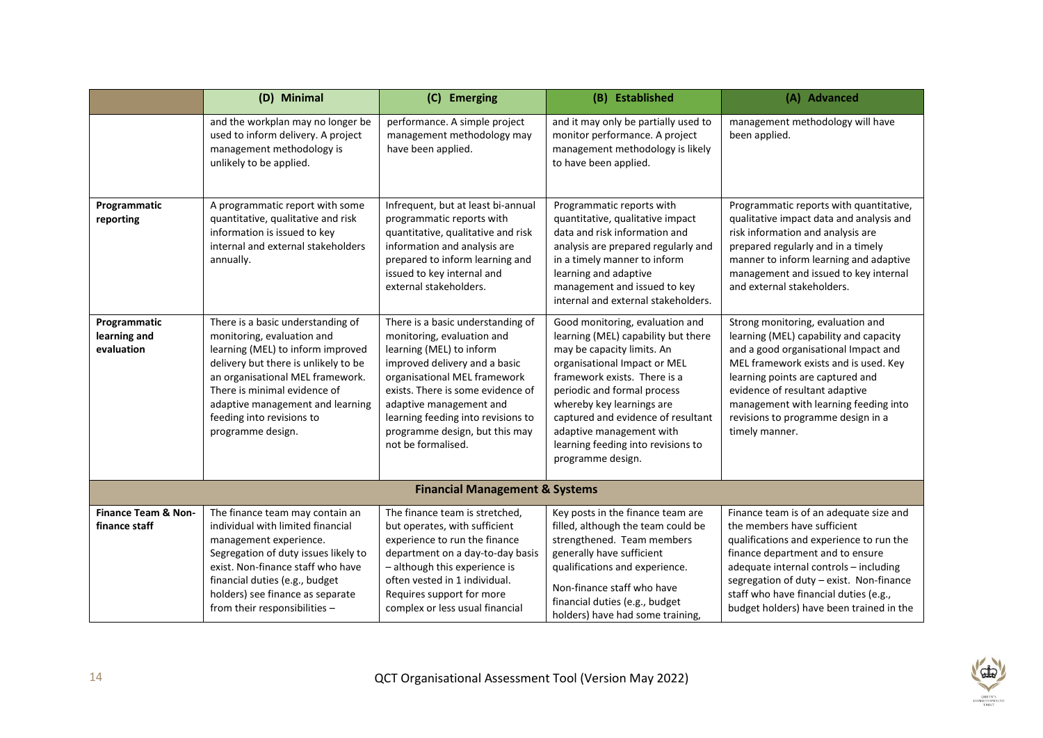|                                                 | (D) Minimal                                                                                                                                                                                                                                                                                            | (C) Emerging                                                                                                                                                                                                                                                                                                               | (B) Established                                                                                                                                                                                                                                                                                                                                               | (A) Advanced                                                                                                                                                                                                                                                                                                                        |  |
|-------------------------------------------------|--------------------------------------------------------------------------------------------------------------------------------------------------------------------------------------------------------------------------------------------------------------------------------------------------------|----------------------------------------------------------------------------------------------------------------------------------------------------------------------------------------------------------------------------------------------------------------------------------------------------------------------------|---------------------------------------------------------------------------------------------------------------------------------------------------------------------------------------------------------------------------------------------------------------------------------------------------------------------------------------------------------------|-------------------------------------------------------------------------------------------------------------------------------------------------------------------------------------------------------------------------------------------------------------------------------------------------------------------------------------|--|
|                                                 | and the workplan may no longer be<br>used to inform delivery. A project<br>management methodology is<br>unlikely to be applied.                                                                                                                                                                        | performance. A simple project<br>management methodology may<br>have been applied.                                                                                                                                                                                                                                          | and it may only be partially used to<br>monitor performance. A project<br>management methodology is likely<br>to have been applied.                                                                                                                                                                                                                           | management methodology will have<br>been applied.                                                                                                                                                                                                                                                                                   |  |
| Programmatic<br>reporting                       | A programmatic report with some<br>quantitative, qualitative and risk<br>information is issued to key<br>internal and external stakeholders<br>annually.                                                                                                                                               | Infrequent, but at least bi-annual<br>programmatic reports with<br>quantitative, qualitative and risk<br>information and analysis are<br>prepared to inform learning and<br>issued to key internal and<br>external stakeholders.                                                                                           | Programmatic reports with<br>quantitative, qualitative impact<br>data and risk information and<br>analysis are prepared regularly and<br>in a timely manner to inform<br>learning and adaptive<br>management and issued to key<br>internal and external stakeholders.                                                                                         | Programmatic reports with quantitative,<br>qualitative impact data and analysis and<br>risk information and analysis are<br>prepared regularly and in a timely<br>manner to inform learning and adaptive<br>management and issued to key internal<br>and external stakeholders.                                                     |  |
| Programmatic<br>learning and<br>evaluation      | There is a basic understanding of<br>monitoring, evaluation and<br>learning (MEL) to inform improved<br>delivery but there is unlikely to be<br>an organisational MEL framework.<br>There is minimal evidence of<br>adaptive management and learning<br>feeding into revisions to<br>programme design. | There is a basic understanding of<br>monitoring, evaluation and<br>learning (MEL) to inform<br>improved delivery and a basic<br>organisational MEL framework<br>exists. There is some evidence of<br>adaptive management and<br>learning feeding into revisions to<br>programme design, but this may<br>not be formalised. | Good monitoring, evaluation and<br>learning (MEL) capability but there<br>may be capacity limits. An<br>organisational Impact or MEL<br>framework exists. There is a<br>periodic and formal process<br>whereby key learnings are<br>captured and evidence of resultant<br>adaptive management with<br>learning feeding into revisions to<br>programme design. | Strong monitoring, evaluation and<br>learning (MEL) capability and capacity<br>and a good organisational Impact and<br>MEL framework exists and is used. Key<br>learning points are captured and<br>evidence of resultant adaptive<br>management with learning feeding into<br>revisions to programme design in a<br>timely manner. |  |
| <b>Financial Management &amp; Systems</b>       |                                                                                                                                                                                                                                                                                                        |                                                                                                                                                                                                                                                                                                                            |                                                                                                                                                                                                                                                                                                                                                               |                                                                                                                                                                                                                                                                                                                                     |  |
| <b>Finance Team &amp; Non-</b><br>finance staff | The finance team may contain an<br>individual with limited financial<br>management experience.<br>Segregation of duty issues likely to<br>exist. Non-finance staff who have<br>financial duties (e.g., budget<br>holders) see finance as separate<br>from their responsibilities -                     | The finance team is stretched.<br>but operates, with sufficient<br>experience to run the finance<br>department on a day-to-day basis<br>- although this experience is<br>often vested in 1 individual.<br>Requires support for more<br>complex or less usual financial                                                     | Key posts in the finance team are<br>filled, although the team could be<br>strengthened. Team members<br>generally have sufficient<br>qualifications and experience.<br>Non-finance staff who have<br>financial duties (e.g., budget<br>holders) have had some training,                                                                                      | Finance team is of an adequate size and<br>the members have sufficient<br>qualifications and experience to run the<br>finance department and to ensure<br>adequate internal controls - including<br>segregation of duty - exist. Non-finance<br>staff who have financial duties (e.g.,<br>budget holders) have been trained in the  |  |

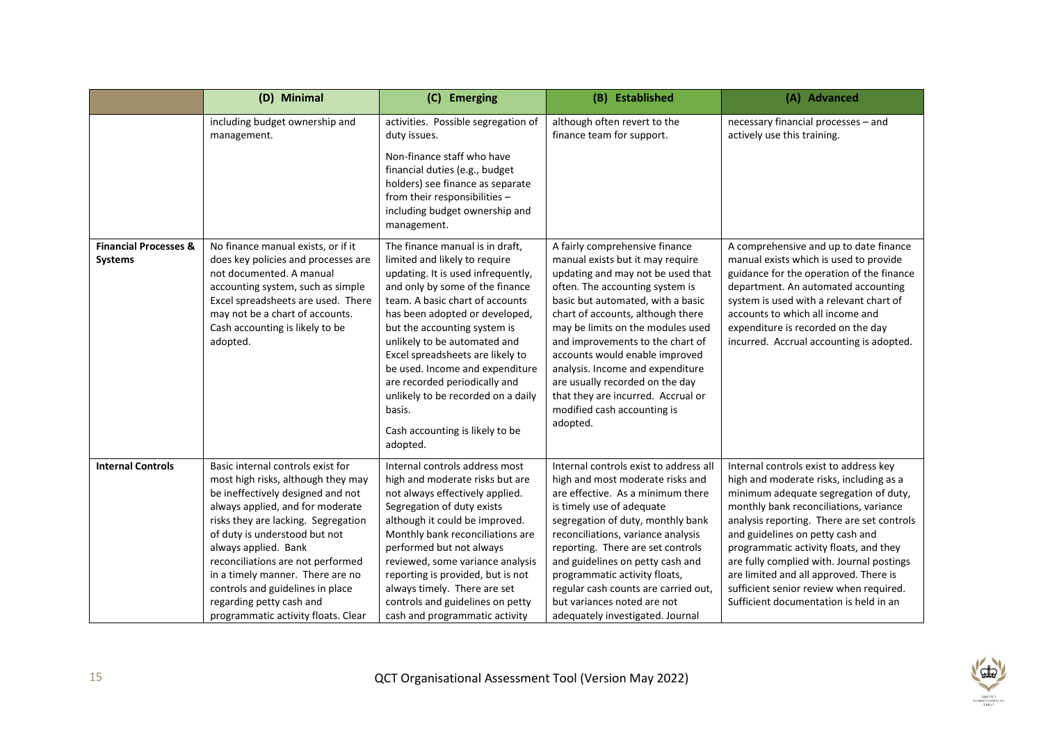|                                                    | (D) Minimal                                                                                                                                                                                                                                                                                                                                                                                                                      | (C) Emerging                                                                                                                                                                                                                                                                                                                                                                                                                                                                          | (B) Established                                                                                                                                                                                                                                                                                                                                                                                                                                                                         | (A) Advanced                                                                                                                                                                                                                                                                                                                                                                                                                                                                 |
|----------------------------------------------------|----------------------------------------------------------------------------------------------------------------------------------------------------------------------------------------------------------------------------------------------------------------------------------------------------------------------------------------------------------------------------------------------------------------------------------|---------------------------------------------------------------------------------------------------------------------------------------------------------------------------------------------------------------------------------------------------------------------------------------------------------------------------------------------------------------------------------------------------------------------------------------------------------------------------------------|-----------------------------------------------------------------------------------------------------------------------------------------------------------------------------------------------------------------------------------------------------------------------------------------------------------------------------------------------------------------------------------------------------------------------------------------------------------------------------------------|------------------------------------------------------------------------------------------------------------------------------------------------------------------------------------------------------------------------------------------------------------------------------------------------------------------------------------------------------------------------------------------------------------------------------------------------------------------------------|
|                                                    | including budget ownership and<br>management.                                                                                                                                                                                                                                                                                                                                                                                    | activities. Possible segregation of<br>duty issues.<br>Non-finance staff who have<br>financial duties (e.g., budget<br>holders) see finance as separate<br>from their responsibilities -<br>including budget ownership and<br>management.                                                                                                                                                                                                                                             | although often revert to the<br>finance team for support.                                                                                                                                                                                                                                                                                                                                                                                                                               | necessary financial processes - and<br>actively use this training.                                                                                                                                                                                                                                                                                                                                                                                                           |
| <b>Financial Processes &amp;</b><br><b>Systems</b> | No finance manual exists, or if it<br>does key policies and processes are<br>not documented. A manual<br>accounting system, such as simple<br>Excel spreadsheets are used. There<br>may not be a chart of accounts.<br>Cash accounting is likely to be<br>adopted.                                                                                                                                                               | The finance manual is in draft,<br>limited and likely to require<br>updating. It is used infrequently,<br>and only by some of the finance<br>team. A basic chart of accounts<br>has been adopted or developed,<br>but the accounting system is<br>unlikely to be automated and<br>Excel spreadsheets are likely to<br>be used. Income and expenditure<br>are recorded periodically and<br>unlikely to be recorded on a daily<br>basis.<br>Cash accounting is likely to be<br>adopted. | A fairly comprehensive finance<br>manual exists but it may require<br>updating and may not be used that<br>often. The accounting system is<br>basic but automated, with a basic<br>chart of accounts, although there<br>may be limits on the modules used<br>and improvements to the chart of<br>accounts would enable improved<br>analysis. Income and expenditure<br>are usually recorded on the day<br>that they are incurred. Accrual or<br>modified cash accounting is<br>adopted. | A comprehensive and up to date finance<br>manual exists which is used to provide<br>guidance for the operation of the finance<br>department. An automated accounting<br>system is used with a relevant chart of<br>accounts to which all income and<br>expenditure is recorded on the day<br>incurred. Accrual accounting is adopted.                                                                                                                                        |
| <b>Internal Controls</b>                           | Basic internal controls exist for<br>most high risks, although they may<br>be ineffectively designed and not<br>always applied, and for moderate<br>risks they are lacking. Segregation<br>of duty is understood but not<br>always applied. Bank<br>reconciliations are not performed<br>in a timely manner. There are no<br>controls and guidelines in place<br>regarding petty cash and<br>programmatic activity floats. Clear | Internal controls address most<br>high and moderate risks but are<br>not always effectively applied.<br>Segregation of duty exists<br>although it could be improved.<br>Monthly bank reconciliations are<br>performed but not always<br>reviewed, some variance analysis<br>reporting is provided, but is not<br>always timely. There are set<br>controls and guidelines on petty<br>cash and programmatic activity                                                                   | Internal controls exist to address all<br>high and most moderate risks and<br>are effective. As a minimum there<br>is timely use of adequate<br>segregation of duty, monthly bank<br>reconciliations, variance analysis<br>reporting. There are set controls<br>and guidelines on petty cash and<br>programmatic activity floats,<br>regular cash counts are carried out,<br>but variances noted are not<br>adequately investigated. Journal                                            | Internal controls exist to address key<br>high and moderate risks, including as a<br>minimum adequate segregation of duty,<br>monthly bank reconciliations, variance<br>analysis reporting. There are set controls<br>and guidelines on petty cash and<br>programmatic activity floats, and they<br>are fully complied with. Journal postings<br>are limited and all approved. There is<br>sufficient senior review when required.<br>Sufficient documentation is held in an |

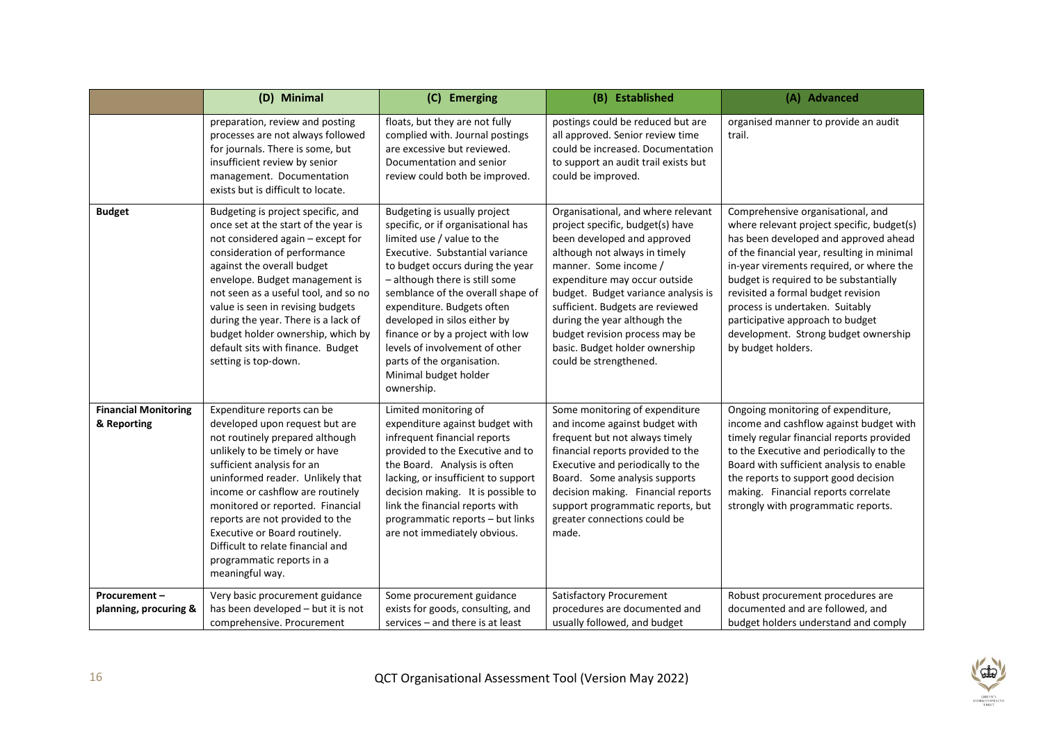|                                            | (D) Minimal                                                                                                                                                                                                                                                                                                                                                                                                                           | (C) Emerging                                                                                                                                                                                                                                                                                                                                                                                                                                            | (B) Established                                                                                                                                                                                                                                                                                                                                                                                           | (A) Advanced                                                                                                                                                                                                                                                                                                                                                                                                                             |
|--------------------------------------------|---------------------------------------------------------------------------------------------------------------------------------------------------------------------------------------------------------------------------------------------------------------------------------------------------------------------------------------------------------------------------------------------------------------------------------------|---------------------------------------------------------------------------------------------------------------------------------------------------------------------------------------------------------------------------------------------------------------------------------------------------------------------------------------------------------------------------------------------------------------------------------------------------------|-----------------------------------------------------------------------------------------------------------------------------------------------------------------------------------------------------------------------------------------------------------------------------------------------------------------------------------------------------------------------------------------------------------|------------------------------------------------------------------------------------------------------------------------------------------------------------------------------------------------------------------------------------------------------------------------------------------------------------------------------------------------------------------------------------------------------------------------------------------|
|                                            | preparation, review and posting<br>processes are not always followed<br>for journals. There is some, but<br>insufficient review by senior<br>management. Documentation<br>exists but is difficult to locate.                                                                                                                                                                                                                          | floats, but they are not fully<br>complied with. Journal postings<br>are excessive but reviewed.<br>Documentation and senior<br>review could both be improved.                                                                                                                                                                                                                                                                                          | postings could be reduced but are<br>all approved. Senior review time<br>could be increased. Documentation<br>to support an audit trail exists but<br>could be improved.                                                                                                                                                                                                                                  | organised manner to provide an audit<br>trail.                                                                                                                                                                                                                                                                                                                                                                                           |
| <b>Budget</b>                              | Budgeting is project specific, and<br>once set at the start of the year is<br>not considered again - except for<br>consideration of performance<br>against the overall budget<br>envelope. Budget management is<br>not seen as a useful tool, and so no<br>value is seen in revising budgets<br>during the year. There is a lack of<br>budget holder ownership, which by<br>default sits with finance. Budget<br>setting is top-down. | Budgeting is usually project<br>specific, or if organisational has<br>limited use / value to the<br>Executive. Substantial variance<br>to budget occurs during the year<br>- although there is still some<br>semblance of the overall shape of<br>expenditure. Budgets often<br>developed in silos either by<br>finance or by a project with low<br>levels of involvement of other<br>parts of the organisation.<br>Minimal budget holder<br>ownership. | Organisational, and where relevant<br>project specific, budget(s) have<br>been developed and approved<br>although not always in timely<br>manner. Some income /<br>expenditure may occur outside<br>budget. Budget variance analysis is<br>sufficient. Budgets are reviewed<br>during the year although the<br>budget revision process may be<br>basic. Budget holder ownership<br>could be strengthened. | Comprehensive organisational, and<br>where relevant project specific, budget(s)<br>has been developed and approved ahead<br>of the financial year, resulting in minimal<br>in-year virements required, or where the<br>budget is required to be substantially<br>revisited a formal budget revision<br>process is undertaken. Suitably<br>participative approach to budget<br>development. Strong budget ownership<br>by budget holders. |
| <b>Financial Monitoring</b><br>& Reporting | Expenditure reports can be<br>developed upon request but are<br>not routinely prepared although<br>unlikely to be timely or have<br>sufficient analysis for an<br>uninformed reader. Unlikely that<br>income or cashflow are routinely<br>monitored or reported. Financial<br>reports are not provided to the<br>Executive or Board routinely.<br>Difficult to relate financial and<br>programmatic reports in a<br>meaningful way.   | Limited monitoring of<br>expenditure against budget with<br>infrequent financial reports<br>provided to the Executive and to<br>the Board. Analysis is often<br>lacking, or insufficient to support<br>decision making. It is possible to<br>link the financial reports with<br>programmatic reports - but links<br>are not immediately obvious.                                                                                                        | Some monitoring of expenditure<br>and income against budget with<br>frequent but not always timely<br>financial reports provided to the<br>Executive and periodically to the<br>Board. Some analysis supports<br>decision making. Financial reports<br>support programmatic reports, but<br>greater connections could be<br>made.                                                                         | Ongoing monitoring of expenditure,<br>income and cashflow against budget with<br>timely regular financial reports provided<br>to the Executive and periodically to the<br>Board with sufficient analysis to enable<br>the reports to support good decision<br>making. Financial reports correlate<br>strongly with programmatic reports.                                                                                                 |
| Procurement-<br>planning, procuring &      | Very basic procurement guidance<br>has been developed - but it is not<br>comprehensive. Procurement                                                                                                                                                                                                                                                                                                                                   | Some procurement guidance<br>exists for goods, consulting, and<br>services - and there is at least                                                                                                                                                                                                                                                                                                                                                      | Satisfactory Procurement<br>procedures are documented and<br>usually followed, and budget                                                                                                                                                                                                                                                                                                                 | Robust procurement procedures are<br>documented and are followed, and<br>budget holders understand and comply                                                                                                                                                                                                                                                                                                                            |

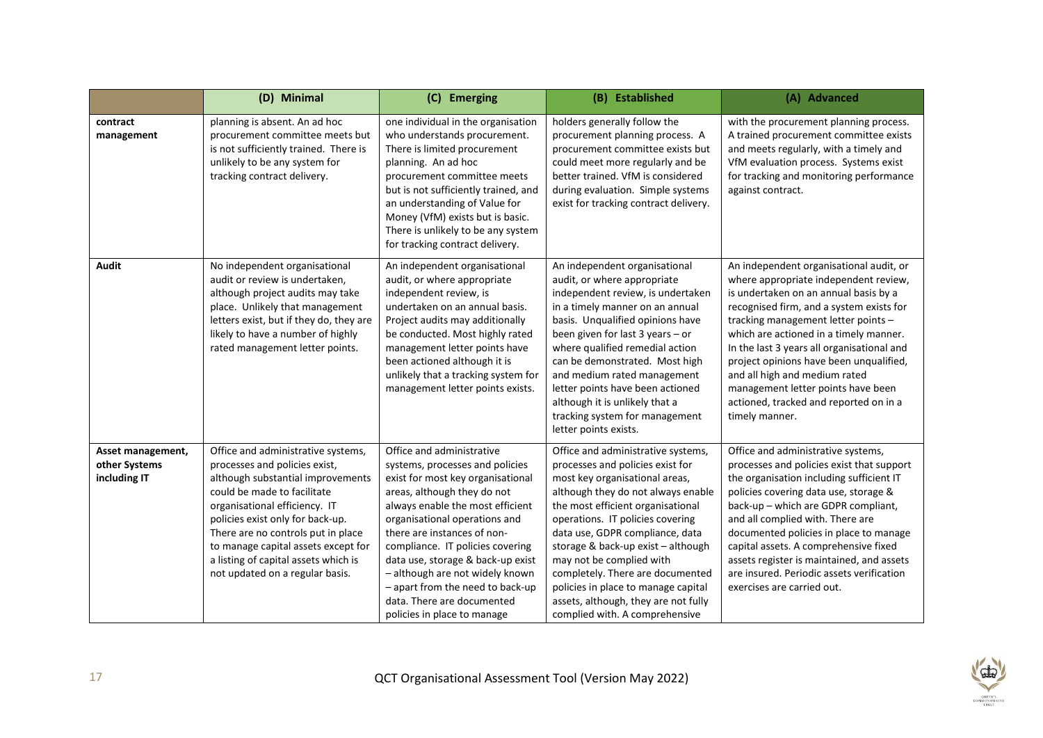|                                                    | (D) Minimal                                                                                                                                                                                                                                                                                                                                                          | (C) Emerging                                                                                                                                                                                                                                                                                                                                                                                                                                      | (B) Established                                                                                                                                                                                                                                                                                                                                                                                                                                                                   | (A) Advanced                                                                                                                                                                                                                                                                                                                                                                                                                                                                       |
|----------------------------------------------------|----------------------------------------------------------------------------------------------------------------------------------------------------------------------------------------------------------------------------------------------------------------------------------------------------------------------------------------------------------------------|---------------------------------------------------------------------------------------------------------------------------------------------------------------------------------------------------------------------------------------------------------------------------------------------------------------------------------------------------------------------------------------------------------------------------------------------------|-----------------------------------------------------------------------------------------------------------------------------------------------------------------------------------------------------------------------------------------------------------------------------------------------------------------------------------------------------------------------------------------------------------------------------------------------------------------------------------|------------------------------------------------------------------------------------------------------------------------------------------------------------------------------------------------------------------------------------------------------------------------------------------------------------------------------------------------------------------------------------------------------------------------------------------------------------------------------------|
| contract<br>management                             | planning is absent. An ad hoc<br>procurement committee meets but<br>is not sufficiently trained. There is<br>unlikely to be any system for<br>tracking contract delivery.                                                                                                                                                                                            | one individual in the organisation<br>who understands procurement.<br>There is limited procurement<br>planning. An ad hoc<br>procurement committee meets<br>but is not sufficiently trained, and<br>an understanding of Value for<br>Money (VfM) exists but is basic.<br>There is unlikely to be any system<br>for tracking contract delivery.                                                                                                    | holders generally follow the<br>procurement planning process. A<br>procurement committee exists but<br>could meet more regularly and be<br>better trained. VfM is considered<br>during evaluation. Simple systems<br>exist for tracking contract delivery.                                                                                                                                                                                                                        | with the procurement planning process.<br>A trained procurement committee exists<br>and meets regularly, with a timely and<br>VfM evaluation process. Systems exist<br>for tracking and monitoring performance<br>against contract.                                                                                                                                                                                                                                                |
| <b>Audit</b>                                       | No independent organisational<br>audit or review is undertaken,<br>although project audits may take<br>place. Unlikely that management<br>letters exist, but if they do, they are<br>likely to have a number of highly<br>rated management letter points.                                                                                                            | An independent organisational<br>audit, or where appropriate<br>independent review, is<br>undertaken on an annual basis.<br>Project audits may additionally<br>be conducted. Most highly rated<br>management letter points have<br>been actioned although it is<br>unlikely that a tracking system for<br>management letter points exists.                                                                                                        | An independent organisational<br>audit, or where appropriate<br>independent review, is undertaken<br>in a timely manner on an annual<br>basis. Unqualified opinions have<br>been given for last $3$ years $-$ or<br>where qualified remedial action<br>can be demonstrated. Most high<br>and medium rated management<br>letter points have been actioned<br>although it is unlikely that a<br>tracking system for management<br>letter points exists.                             | An independent organisational audit, or<br>where appropriate independent review,<br>is undertaken on an annual basis by a<br>recognised firm, and a system exists for<br>tracking management letter points -<br>which are actioned in a timely manner.<br>In the last 3 years all organisational and<br>project opinions have been unqualified,<br>and all high and medium rated<br>management letter points have been<br>actioned, tracked and reported on in a<br>timely manner. |
| Asset management,<br>other Systems<br>including IT | Office and administrative systems,<br>processes and policies exist,<br>although substantial improvements<br>could be made to facilitate<br>organisational efficiency. IT<br>policies exist only for back-up.<br>There are no controls put in place<br>to manage capital assets except for<br>a listing of capital assets which is<br>not updated on a regular basis. | Office and administrative<br>systems, processes and policies<br>exist for most key organisational<br>areas, although they do not<br>always enable the most efficient<br>organisational operations and<br>there are instances of non-<br>compliance. IT policies covering<br>data use, storage & back-up exist<br>- although are not widely known<br>- apart from the need to back-up<br>data. There are documented<br>policies in place to manage | Office and administrative systems,<br>processes and policies exist for<br>most key organisational areas,<br>although they do not always enable<br>the most efficient organisational<br>operations. IT policies covering<br>data use, GDPR compliance, data<br>storage & back-up exist - although<br>may not be complied with<br>completely. There are documented<br>policies in place to manage capital<br>assets, although, they are not fully<br>complied with. A comprehensive | Office and administrative systems,<br>processes and policies exist that support<br>the organisation including sufficient IT<br>policies covering data use, storage &<br>back-up - which are GDPR compliant,<br>and all complied with. There are<br>documented policies in place to manage<br>capital assets. A comprehensive fixed<br>assets register is maintained, and assets<br>are insured. Periodic assets verification<br>exercises are carried out.                         |

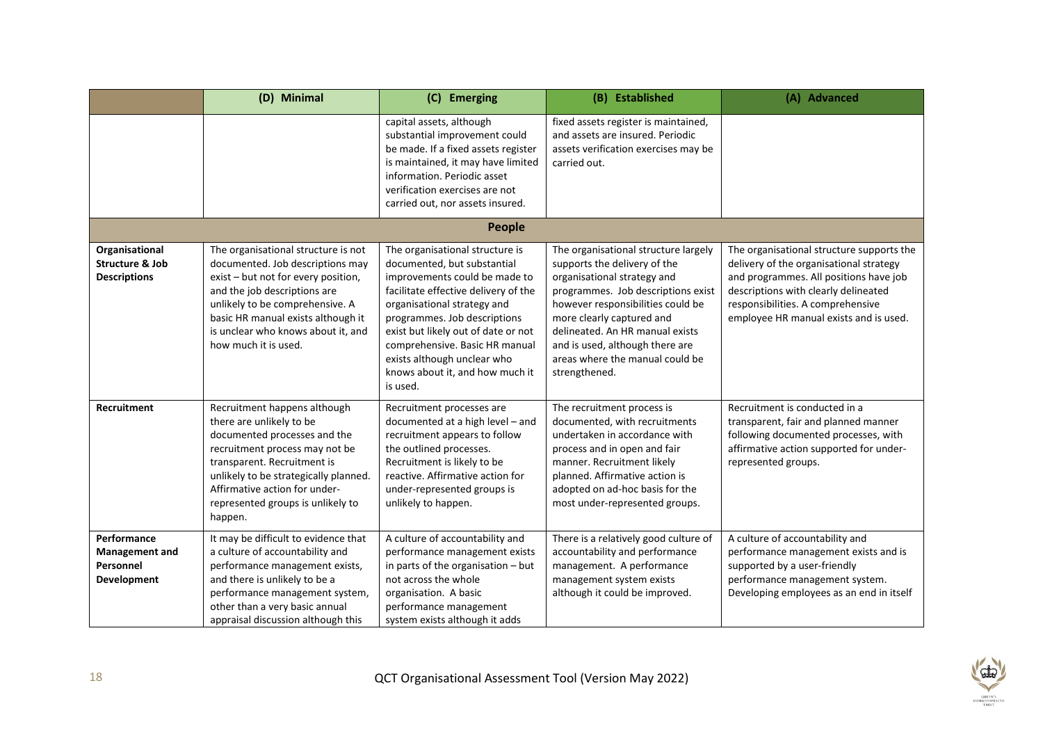|                                                                     | (D) Minimal                                                                                                                                                                                                                                                                           | (C) Emerging                                                                                                                                                                                                                                                                                                                                                  | (B) Established                                                                                                                                                                                                                                                                                                                       | (A) Advanced                                                                                                                                                                                                                                          |
|---------------------------------------------------------------------|---------------------------------------------------------------------------------------------------------------------------------------------------------------------------------------------------------------------------------------------------------------------------------------|---------------------------------------------------------------------------------------------------------------------------------------------------------------------------------------------------------------------------------------------------------------------------------------------------------------------------------------------------------------|---------------------------------------------------------------------------------------------------------------------------------------------------------------------------------------------------------------------------------------------------------------------------------------------------------------------------------------|-------------------------------------------------------------------------------------------------------------------------------------------------------------------------------------------------------------------------------------------------------|
|                                                                     |                                                                                                                                                                                                                                                                                       | capital assets, although<br>substantial improvement could<br>be made. If a fixed assets register<br>is maintained, it may have limited<br>information. Periodic asset<br>verification exercises are not<br>carried out, nor assets insured.                                                                                                                   | fixed assets register is maintained,<br>and assets are insured. Periodic<br>assets verification exercises may be<br>carried out.                                                                                                                                                                                                      |                                                                                                                                                                                                                                                       |
|                                                                     |                                                                                                                                                                                                                                                                                       | People                                                                                                                                                                                                                                                                                                                                                        |                                                                                                                                                                                                                                                                                                                                       |                                                                                                                                                                                                                                                       |
| Organisational<br><b>Structure &amp; Job</b><br><b>Descriptions</b> | The organisational structure is not<br>documented. Job descriptions may<br>exist - but not for every position,<br>and the job descriptions are<br>unlikely to be comprehensive. A<br>basic HR manual exists although it<br>is unclear who knows about it, and<br>how much it is used. | The organisational structure is<br>documented, but substantial<br>improvements could be made to<br>facilitate effective delivery of the<br>organisational strategy and<br>programmes. Job descriptions<br>exist but likely out of date or not<br>comprehensive. Basic HR manual<br>exists although unclear who<br>knows about it, and how much it<br>is used. | The organisational structure largely<br>supports the delivery of the<br>organisational strategy and<br>programmes. Job descriptions exist<br>however responsibilities could be<br>more clearly captured and<br>delineated. An HR manual exists<br>and is used, although there are<br>areas where the manual could be<br>strengthened. | The organisational structure supports the<br>delivery of the organisational strategy<br>and programmes. All positions have job<br>descriptions with clearly delineated<br>responsibilities. A comprehensive<br>employee HR manual exists and is used. |
| <b>Recruitment</b>                                                  | Recruitment happens although<br>there are unlikely to be<br>documented processes and the<br>recruitment process may not be<br>transparent. Recruitment is<br>unlikely to be strategically planned.<br>Affirmative action for under-<br>represented groups is unlikely to<br>happen.   | Recruitment processes are<br>documented at a high level - and<br>recruitment appears to follow<br>the outlined processes.<br>Recruitment is likely to be<br>reactive. Affirmative action for<br>under-represented groups is<br>unlikely to happen.                                                                                                            | The recruitment process is<br>documented, with recruitments<br>undertaken in accordance with<br>process and in open and fair<br>manner. Recruitment likely<br>planned. Affirmative action is<br>adopted on ad-hoc basis for the<br>most under-represented groups.                                                                     | Recruitment is conducted in a<br>transparent, fair and planned manner<br>following documented processes, with<br>affirmative action supported for under-<br>represented groups.                                                                       |
| Performance<br><b>Management and</b><br>Personnel<br>Development    | It may be difficult to evidence that<br>a culture of accountability and<br>performance management exists,<br>and there is unlikely to be a<br>performance management system,<br>other than a very basic annual<br>appraisal discussion although this                                  | A culture of accountability and<br>performance management exists<br>in parts of the organisation - but<br>not across the whole<br>organisation. A basic<br>performance management<br>system exists although it adds                                                                                                                                           | There is a relatively good culture of<br>accountability and performance<br>management. A performance<br>management system exists<br>although it could be improved.                                                                                                                                                                    | A culture of accountability and<br>performance management exists and is<br>supported by a user-friendly<br>performance management system.<br>Developing employees as an end in itself                                                                 |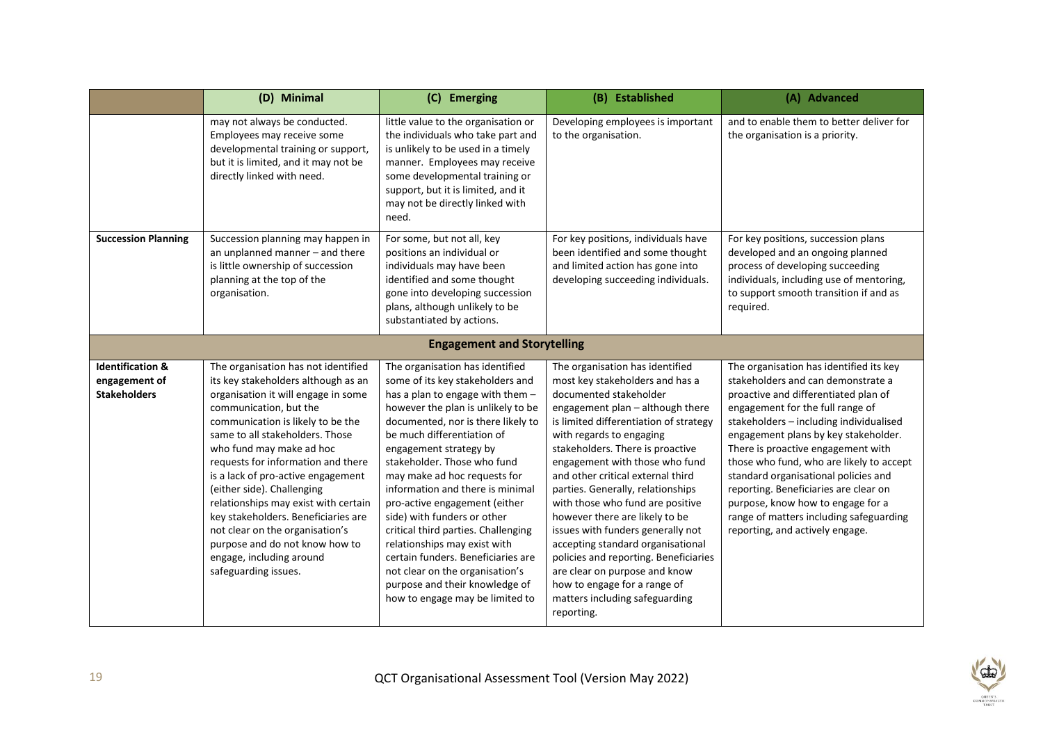|                                                                     | (D) Minimal                                                                                                                                                                                                                                                                                                                                                                                                                                                                                                                                                       | (C) Emerging                                                                                                                                                                                                                                                                                                                                                                                                                                                                                                                                                                                                                        | (B) Established                                                                                                                                                                                                                                                                                                                                                                                                                                                                                                                                                                                                                                                  | (A) Advanced                                                                                                                                                                                                                                                                                                                                                                                                                                                                                                                       |
|---------------------------------------------------------------------|-------------------------------------------------------------------------------------------------------------------------------------------------------------------------------------------------------------------------------------------------------------------------------------------------------------------------------------------------------------------------------------------------------------------------------------------------------------------------------------------------------------------------------------------------------------------|-------------------------------------------------------------------------------------------------------------------------------------------------------------------------------------------------------------------------------------------------------------------------------------------------------------------------------------------------------------------------------------------------------------------------------------------------------------------------------------------------------------------------------------------------------------------------------------------------------------------------------------|------------------------------------------------------------------------------------------------------------------------------------------------------------------------------------------------------------------------------------------------------------------------------------------------------------------------------------------------------------------------------------------------------------------------------------------------------------------------------------------------------------------------------------------------------------------------------------------------------------------------------------------------------------------|------------------------------------------------------------------------------------------------------------------------------------------------------------------------------------------------------------------------------------------------------------------------------------------------------------------------------------------------------------------------------------------------------------------------------------------------------------------------------------------------------------------------------------|
|                                                                     | may not always be conducted.<br>Employees may receive some<br>developmental training or support,<br>but it is limited, and it may not be<br>directly linked with need.                                                                                                                                                                                                                                                                                                                                                                                            | little value to the organisation or<br>the individuals who take part and<br>is unlikely to be used in a timely<br>manner. Employees may receive<br>some developmental training or<br>support, but it is limited, and it<br>may not be directly linked with<br>need.                                                                                                                                                                                                                                                                                                                                                                 | Developing employees is important<br>to the organisation.                                                                                                                                                                                                                                                                                                                                                                                                                                                                                                                                                                                                        | and to enable them to better deliver for<br>the organisation is a priority.                                                                                                                                                                                                                                                                                                                                                                                                                                                        |
| <b>Succession Planning</b>                                          | Succession planning may happen in<br>an unplanned manner - and there<br>is little ownership of succession<br>planning at the top of the<br>organisation.                                                                                                                                                                                                                                                                                                                                                                                                          | For some, but not all, key<br>positions an individual or<br>individuals may have been<br>identified and some thought<br>gone into developing succession<br>plans, although unlikely to be<br>substantiated by actions.                                                                                                                                                                                                                                                                                                                                                                                                              | For key positions, individuals have<br>been identified and some thought<br>and limited action has gone into<br>developing succeeding individuals.                                                                                                                                                                                                                                                                                                                                                                                                                                                                                                                | For key positions, succession plans<br>developed and an ongoing planned<br>process of developing succeeding<br>individuals, including use of mentoring,<br>to support smooth transition if and as<br>required.                                                                                                                                                                                                                                                                                                                     |
|                                                                     |                                                                                                                                                                                                                                                                                                                                                                                                                                                                                                                                                                   | <b>Engagement and Storytelling</b>                                                                                                                                                                                                                                                                                                                                                                                                                                                                                                                                                                                                  |                                                                                                                                                                                                                                                                                                                                                                                                                                                                                                                                                                                                                                                                  |                                                                                                                                                                                                                                                                                                                                                                                                                                                                                                                                    |
| <b>Identification &amp;</b><br>engagement of<br><b>Stakeholders</b> | The organisation has not identified<br>its key stakeholders although as an<br>organisation it will engage in some<br>communication, but the<br>communication is likely to be the<br>same to all stakeholders. Those<br>who fund may make ad hoc<br>requests for information and there<br>is a lack of pro-active engagement<br>(either side). Challenging<br>relationships may exist with certain<br>key stakeholders. Beneficiaries are<br>not clear on the organisation's<br>purpose and do not know how to<br>engage, including around<br>safeguarding issues. | The organisation has identified<br>some of its key stakeholders and<br>has a plan to engage with them -<br>however the plan is unlikely to be<br>documented, nor is there likely to<br>be much differentiation of<br>engagement strategy by<br>stakeholder. Those who fund<br>may make ad hoc requests for<br>information and there is minimal<br>pro-active engagement (either<br>side) with funders or other<br>critical third parties. Challenging<br>relationships may exist with<br>certain funders. Beneficiaries are<br>not clear on the organisation's<br>purpose and their knowledge of<br>how to engage may be limited to | The organisation has identified<br>most key stakeholders and has a<br>documented stakeholder<br>engagement plan - although there<br>is limited differentiation of strategy<br>with regards to engaging<br>stakeholders. There is proactive<br>engagement with those who fund<br>and other critical external third<br>parties. Generally, relationships<br>with those who fund are positive<br>however there are likely to be<br>issues with funders generally not<br>accepting standard organisational<br>policies and reporting. Beneficiaries<br>are clear on purpose and know<br>how to engage for a range of<br>matters including safeguarding<br>reporting. | The organisation has identified its key<br>stakeholders and can demonstrate a<br>proactive and differentiated plan of<br>engagement for the full range of<br>stakeholders - including individualised<br>engagement plans by key stakeholder.<br>There is proactive engagement with<br>those who fund, who are likely to accept<br>standard organisational policies and<br>reporting. Beneficiaries are clear on<br>purpose, know how to engage for a<br>range of matters including safeguarding<br>reporting, and actively engage. |

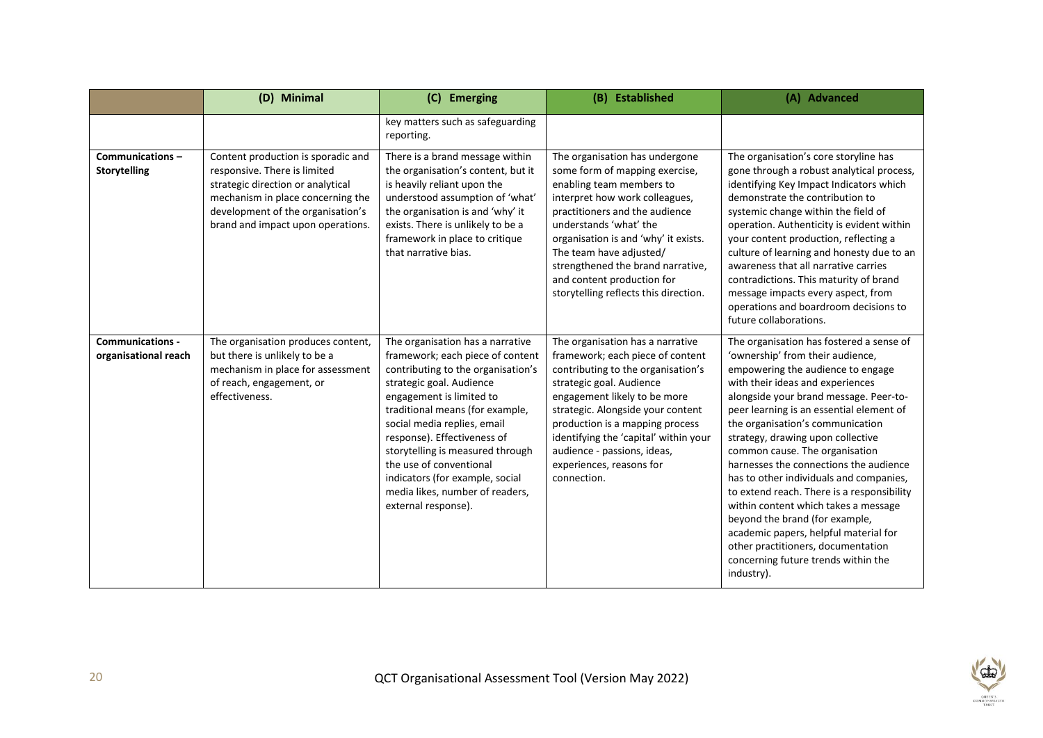|                                                 | (D) Minimal                                                                                                                                                                                                            | (C) Emerging                                                                                                                                                                                                                                                                                                                                                                                                                    | (B) Established                                                                                                                                                                                                                                                                                                                                                           | (A) Advanced                                                                                                                                                                                                                                                                                                                                                                                                                                                                                                                                                                                                                                                                                            |
|-------------------------------------------------|------------------------------------------------------------------------------------------------------------------------------------------------------------------------------------------------------------------------|---------------------------------------------------------------------------------------------------------------------------------------------------------------------------------------------------------------------------------------------------------------------------------------------------------------------------------------------------------------------------------------------------------------------------------|---------------------------------------------------------------------------------------------------------------------------------------------------------------------------------------------------------------------------------------------------------------------------------------------------------------------------------------------------------------------------|---------------------------------------------------------------------------------------------------------------------------------------------------------------------------------------------------------------------------------------------------------------------------------------------------------------------------------------------------------------------------------------------------------------------------------------------------------------------------------------------------------------------------------------------------------------------------------------------------------------------------------------------------------------------------------------------------------|
|                                                 |                                                                                                                                                                                                                        | key matters such as safeguarding<br>reporting.                                                                                                                                                                                                                                                                                                                                                                                  |                                                                                                                                                                                                                                                                                                                                                                           |                                                                                                                                                                                                                                                                                                                                                                                                                                                                                                                                                                                                                                                                                                         |
| Communications-<br><b>Storytelling</b>          | Content production is sporadic and<br>responsive. There is limited<br>strategic direction or analytical<br>mechanism in place concerning the<br>development of the organisation's<br>brand and impact upon operations. | There is a brand message within<br>the organisation's content, but it<br>is heavily reliant upon the<br>understood assumption of 'what'<br>the organisation is and 'why' it<br>exists. There is unlikely to be a<br>framework in place to critique<br>that narrative bias.                                                                                                                                                      | The organisation has undergone<br>some form of mapping exercise,<br>enabling team members to<br>interpret how work colleagues,<br>practitioners and the audience<br>understands 'what' the<br>organisation is and 'why' it exists.<br>The team have adjusted/<br>strengthened the brand narrative,<br>and content production for<br>storytelling reflects this direction. | The organisation's core storyline has<br>gone through a robust analytical process,<br>identifying Key Impact Indicators which<br>demonstrate the contribution to<br>systemic change within the field of<br>operation. Authenticity is evident within<br>your content production, reflecting a<br>culture of learning and honesty due to an<br>awareness that all narrative carries<br>contradictions. This maturity of brand<br>message impacts every aspect, from<br>operations and boardroom decisions to<br>future collaborations.                                                                                                                                                                   |
| <b>Communications -</b><br>organisational reach | The organisation produces content,<br>but there is unlikely to be a<br>mechanism in place for assessment<br>of reach, engagement, or<br>effectiveness.                                                                 | The organisation has a narrative<br>framework; each piece of content<br>contributing to the organisation's<br>strategic goal. Audience<br>engagement is limited to<br>traditional means (for example,<br>social media replies, email<br>response). Effectiveness of<br>storytelling is measured through<br>the use of conventional<br>indicators (for example, social<br>media likes, number of readers,<br>external response). | The organisation has a narrative<br>framework; each piece of content<br>contributing to the organisation's<br>strategic goal. Audience<br>engagement likely to be more<br>strategic. Alongside your content<br>production is a mapping process<br>identifying the 'capital' within your<br>audience - passions, ideas,<br>experiences, reasons for<br>connection.         | The organisation has fostered a sense of<br>'ownership' from their audience,<br>empowering the audience to engage<br>with their ideas and experiences<br>alongside your brand message. Peer-to-<br>peer learning is an essential element of<br>the organisation's communication<br>strategy, drawing upon collective<br>common cause. The organisation<br>harnesses the connections the audience<br>has to other individuals and companies,<br>to extend reach. There is a responsibility<br>within content which takes a message<br>beyond the brand (for example,<br>academic papers, helpful material for<br>other practitioners, documentation<br>concerning future trends within the<br>industry). |